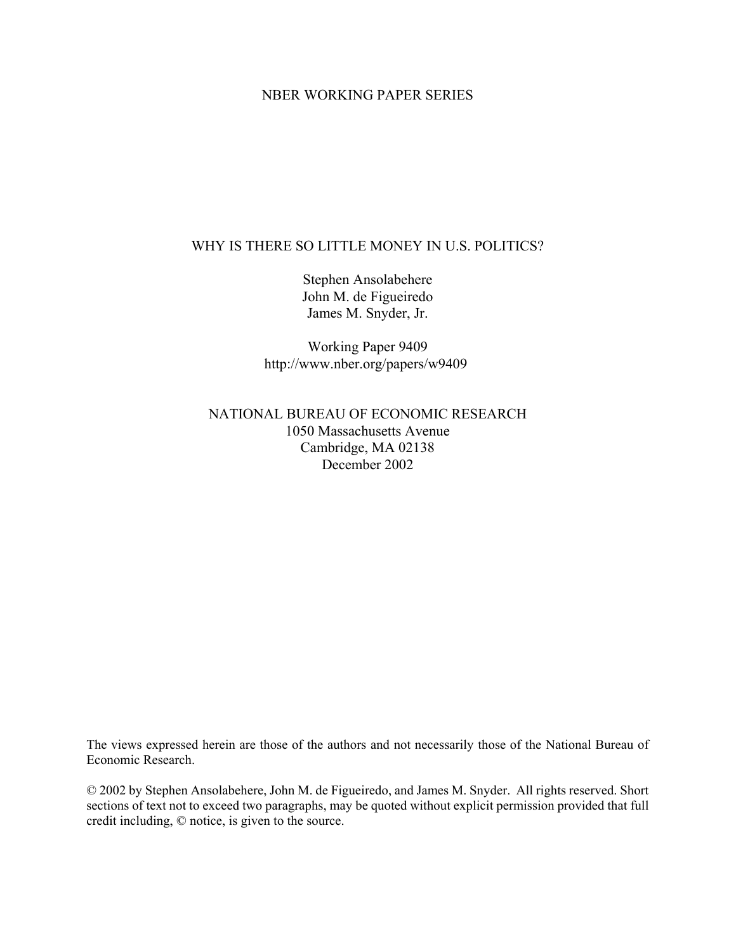# NBER WORKING PAPER SERIES

# WHY IS THERE SO LITTLE MONEY IN U.S. POLITICS?

Stephen Ansolabehere John M. de Figueiredo James M. Snyder, Jr.

Working Paper 9409 http://www.nber.org/papers/w9409

# NATIONAL BUREAU OF ECONOMIC RESEARCH 1050 Massachusetts Avenue Cambridge, MA 02138 December 2002

The views expressed herein are those of the authors and not necessarily those of the National Bureau of Economic Research.

© 2002 by Stephen Ansolabehere, John M. de Figueiredo, and James M. Snyder. All rights reserved. Short sections of text not to exceed two paragraphs, may be quoted without explicit permission provided that full credit including, © notice, is given to the source.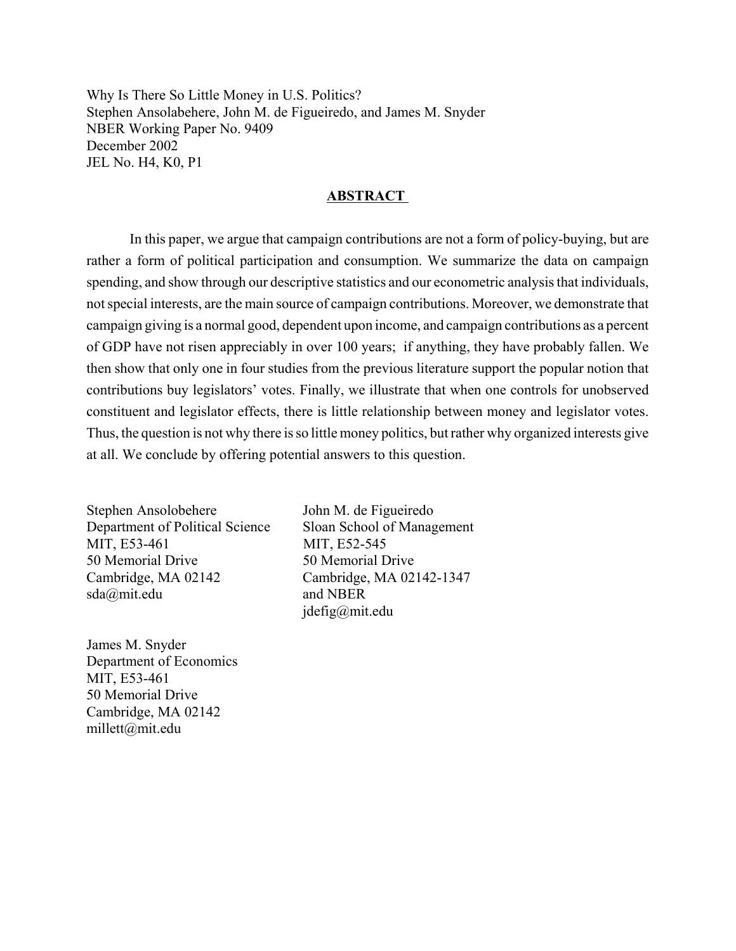Why Is There So Little Money in U.S. Politics? Stephen Ansolabehere, John M. de Figueiredo, and James M. Snyder NBER Working Paper No. 9409 December 2002 JEL No. H4, K0, P1

### **ABSTRACT**

In this paper, we argue that campaign contributions are not a form of policy-buying, but are rather a form of political participation and consumption. We summarize the data on campaign spending, and show through our descriptive statistics and our econometric analysis that individuals, not special interests, are the main source of campaign contributions. Moreover, we demonstrate that campaign giving is a normal good, dependent upon income, and campaign contributions as a percent of GDP have not risen appreciably in over 100 years; if anything, they have probably fallen. We then show that only one in four studies from the previous literature support the popular notion that contributions buy legislators' votes. Finally, we illustrate that when one controls for unobserved constituent and legislator effects, there is little relationship between money and legislator votes. Thus, the question is not why there is so little money politics, but rather why organized interests give at all. We conclude by offering potential answers to this question.

Stephen Ansolobehere John M. de Figueiredo Department of Political Science Sloan School of Management MIT, E53-461 MIT, E52-545 50 Memorial Drive 50 Memorial Drive Cambridge, MA 02142 Cambridge, MA 02142-1347 sda@mit.edu and NBER

jdefig@mit.edu

James M. Snyder Department of Economics MIT, E53-461 50 Memorial Drive Cambridge, MA 02142 millett@mit.edu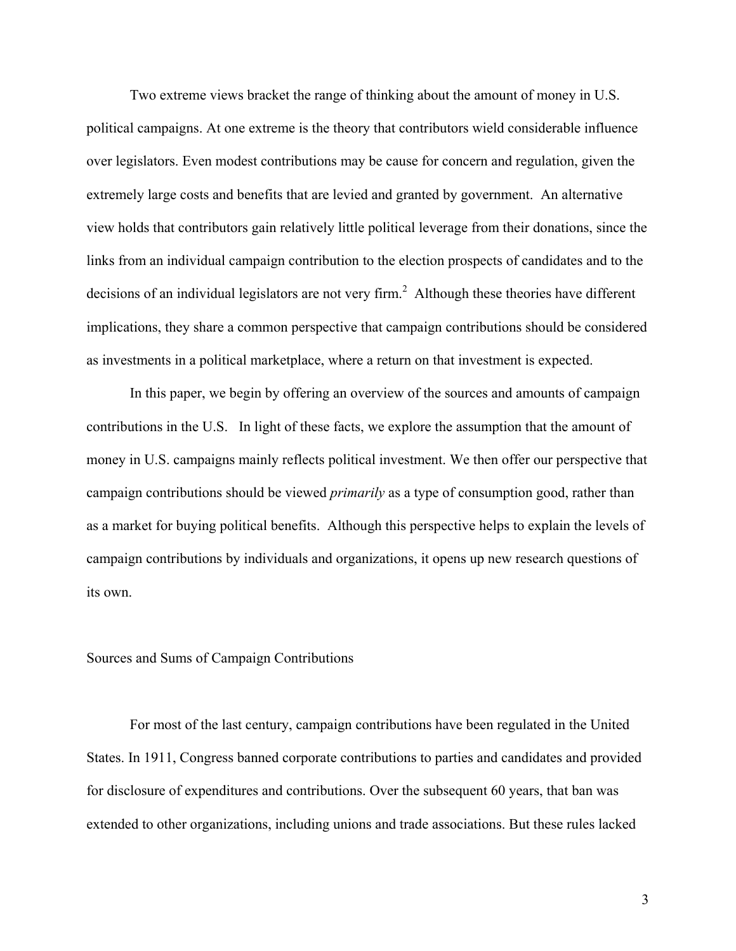Two extreme views bracket the range of thinking about the amount of money in U.S. political campaigns. At one extreme is the theory that contributors wield considerable influence over legislators. Even modest contributions may be cause for concern and regulation, given the extremely large costs and benefits that are levied and granted by government. An alternative view holds that contributors gain relatively little political leverage from their donations, since the links from an individual campaign contribution to the election prospects of candidates and to the decisions of an individual legislators are not very firm.<sup>2</sup> Although these theories have different implications, they share a common perspective that campaign contributions should be considered as investments in a political marketplace, where a return on that investment is expected.

 In this paper, we begin by offering an overview of the sources and amounts of campaign contributions in the U.S. In light of these facts, we explore the assumption that the amount of money in U.S. campaigns mainly reflects political investment. We then offer our perspective that campaign contributions should be viewed *primarily* as a type of consumption good, rather than as a market for buying political benefits. Although this perspective helps to explain the levels of campaign contributions by individuals and organizations, it opens up new research questions of its own.

#### Sources and Sums of Campaign Contributions

For most of the last century, campaign contributions have been regulated in the United States. In 1911, Congress banned corporate contributions to parties and candidates and provided for disclosure of expenditures and contributions. Over the subsequent 60 years, that ban was extended to other organizations, including unions and trade associations. But these rules lacked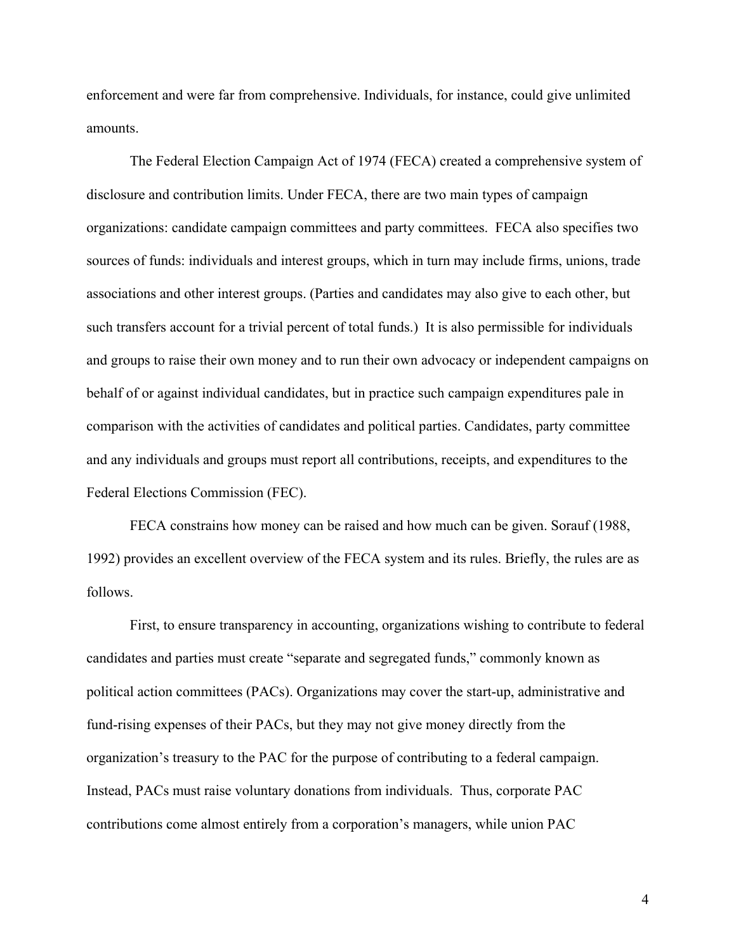enforcement and were far from comprehensive. Individuals, for instance, could give unlimited amounts.

The Federal Election Campaign Act of 1974 (FECA) created a comprehensive system of disclosure and contribution limits. Under FECA, there are two main types of campaign organizations: candidate campaign committees and party committees. FECA also specifies two sources of funds: individuals and interest groups, which in turn may include firms, unions, trade associations and other interest groups. (Parties and candidates may also give to each other, but such transfers account for a trivial percent of total funds.) It is also permissible for individuals and groups to raise their own money and to run their own advocacy or independent campaigns on behalf of or against individual candidates, but in practice such campaign expenditures pale in comparison with the activities of candidates and political parties. Candidates, party committee and any individuals and groups must report all contributions, receipts, and expenditures to the Federal Elections Commission (FEC).

FECA constrains how money can be raised and how much can be given. Sorauf (1988, 1992) provides an excellent overview of the FECA system and its rules. Briefly, the rules are as follows.

First, to ensure transparency in accounting, organizations wishing to contribute to federal candidates and parties must create "separate and segregated funds," commonly known as political action committees (PACs). Organizations may cover the start-up, administrative and fund-rising expenses of their PACs, but they may not give money directly from the organization's treasury to the PAC for the purpose of contributing to a federal campaign. Instead, PACs must raise voluntary donations from individuals. Thus, corporate PAC contributions come almost entirely from a corporation's managers, while union PAC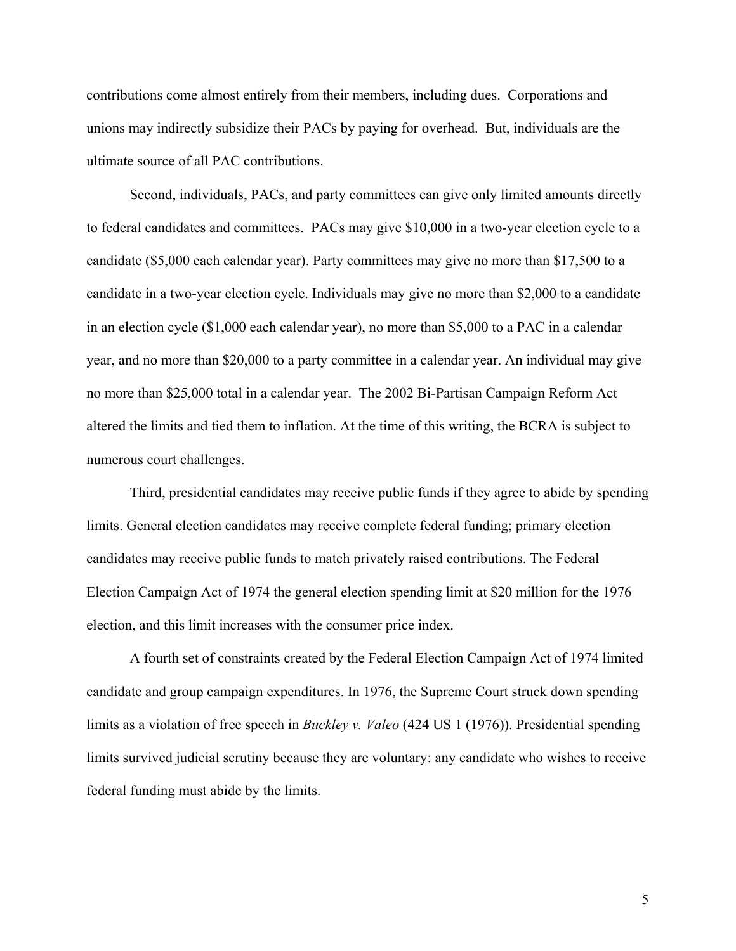contributions come almost entirely from their members, including dues. Corporations and unions may indirectly subsidize their PACs by paying for overhead. But, individuals are the ultimate source of all PAC contributions.

Second, individuals, PACs, and party committees can give only limited amounts directly to federal candidates and committees. PACs may give \$10,000 in a two-year election cycle to a candidate (\$5,000 each calendar year). Party committees may give no more than \$17,500 to a candidate in a two-year election cycle. Individuals may give no more than \$2,000 to a candidate in an election cycle (\$1,000 each calendar year), no more than \$5,000 to a PAC in a calendar year, and no more than \$20,000 to a party committee in a calendar year. An individual may give no more than \$25,000 total in a calendar year. The 2002 Bi-Partisan Campaign Reform Act altered the limits and tied them to inflation. At the time of this writing, the BCRA is subject to numerous court challenges.

Third, presidential candidates may receive public funds if they agree to abide by spending limits. General election candidates may receive complete federal funding; primary election candidates may receive public funds to match privately raised contributions. The Federal Election Campaign Act of 1974 the general election spending limit at \$20 million for the 1976 election, and this limit increases with the consumer price index.

A fourth set of constraints created by the Federal Election Campaign Act of 1974 limited candidate and group campaign expenditures. In 1976, the Supreme Court struck down spending limits as a violation of free speech in *Buckley v. Valeo* (424 US 1 (1976)). Presidential spending limits survived judicial scrutiny because they are voluntary: any candidate who wishes to receive federal funding must abide by the limits.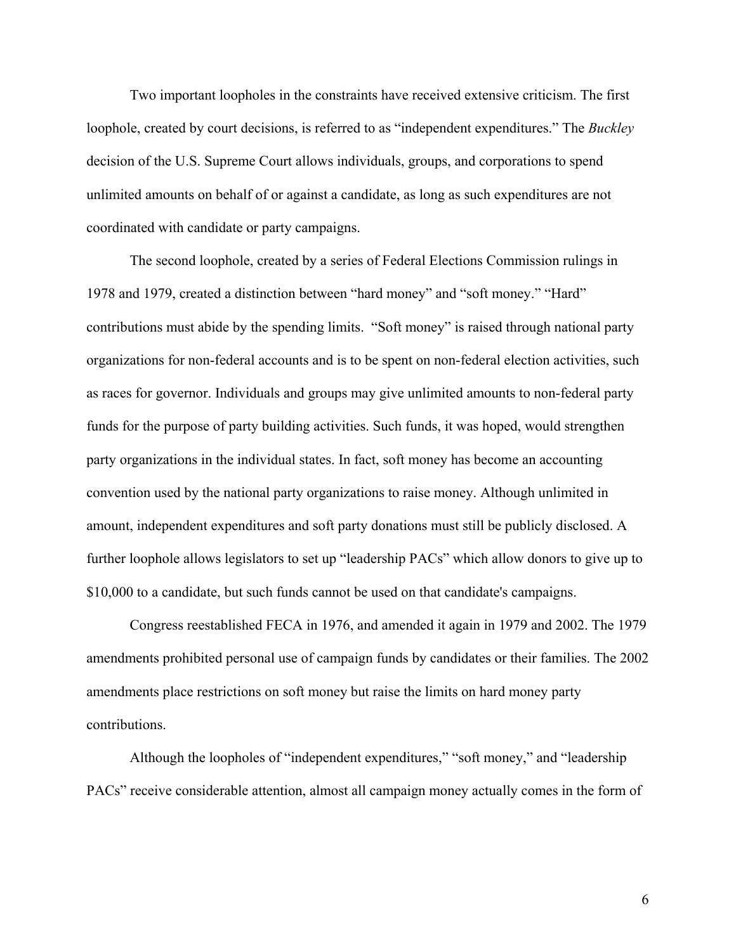Two important loopholes in the constraints have received extensive criticism. The first loophole, created by court decisions, is referred to as "independent expenditures." The *Buckley* decision of the U.S. Supreme Court allows individuals, groups, and corporations to spend unlimited amounts on behalf of or against a candidate, as long as such expenditures are not coordinated with candidate or party campaigns.

The second loophole, created by a series of Federal Elections Commission rulings in 1978 and 1979, created a distinction between "hard money" and "soft money." "Hard" contributions must abide by the spending limits. "Soft money" is raised through national party organizations for non-federal accounts and is to be spent on non-federal election activities, such as races for governor. Individuals and groups may give unlimited amounts to non-federal party funds for the purpose of party building activities. Such funds, it was hoped, would strengthen party organizations in the individual states. In fact, soft money has become an accounting convention used by the national party organizations to raise money. Although unlimited in amount, independent expenditures and soft party donations must still be publicly disclosed. A further loophole allows legislators to set up "leadership PACs" which allow donors to give up to \$10,000 to a candidate, but such funds cannot be used on that candidate's campaigns.

 Congress reestablished FECA in 1976, and amended it again in 1979 and 2002. The 1979 amendments prohibited personal use of campaign funds by candidates or their families. The 2002 amendments place restrictions on soft money but raise the limits on hard money party contributions.

Although the loopholes of "independent expenditures," "soft money," and "leadership PACs" receive considerable attention, almost all campaign money actually comes in the form of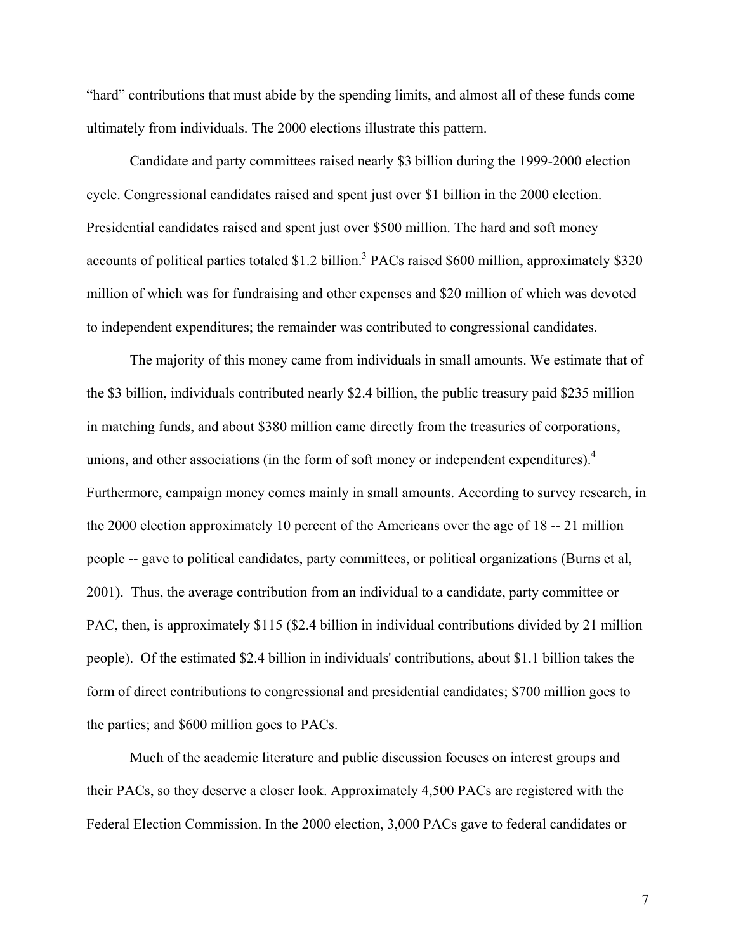"hard" contributions that must abide by the spending limits, and almost all of these funds come ultimately from individuals. The 2000 elections illustrate this pattern.

Candidate and party committees raised nearly \$3 billion during the 1999-2000 election cycle. Congressional candidates raised and spent just over \$1 billion in the 2000 election. Presidential candidates raised and spent just over \$500 million. The hard and soft money accounts of political parties totaled \$1.2 billion.<sup>3</sup> PACs raised \$600 million, approximately \$320 million of which was for fundraising and other expenses and \$20 million of which was devoted to independent expenditures; the remainder was contributed to congressional candidates.

The majority of this money came from individuals in small amounts. We estimate that of the \$3 billion, individuals contributed nearly \$2.4 billion, the public treasury paid \$235 million in matching funds, and about \$380 million came directly from the treasuries of corporations, unions, and other associations (in the form of soft money or independent expenditures).<sup>4</sup> Furthermore, campaign money comes mainly in small amounts. According to survey research, in the 2000 election approximately 10 percent of the Americans over the age of 18 -- 21 million people -- gave to political candidates, party committees, or political organizations (Burns et al, 2001). Thus, the average contribution from an individual to a candidate, party committee or PAC, then, is approximately \$115 (\$2.4 billion in individual contributions divided by 21 million people). Of the estimated \$2.4 billion in individuals' contributions, about \$1.1 billion takes the form of direct contributions to congressional and presidential candidates; \$700 million goes to the parties; and \$600 million goes to PACs.

Much of the academic literature and public discussion focuses on interest groups and their PACs, so they deserve a closer look. Approximately 4,500 PACs are registered with the Federal Election Commission. In the 2000 election, 3,000 PACs gave to federal candidates or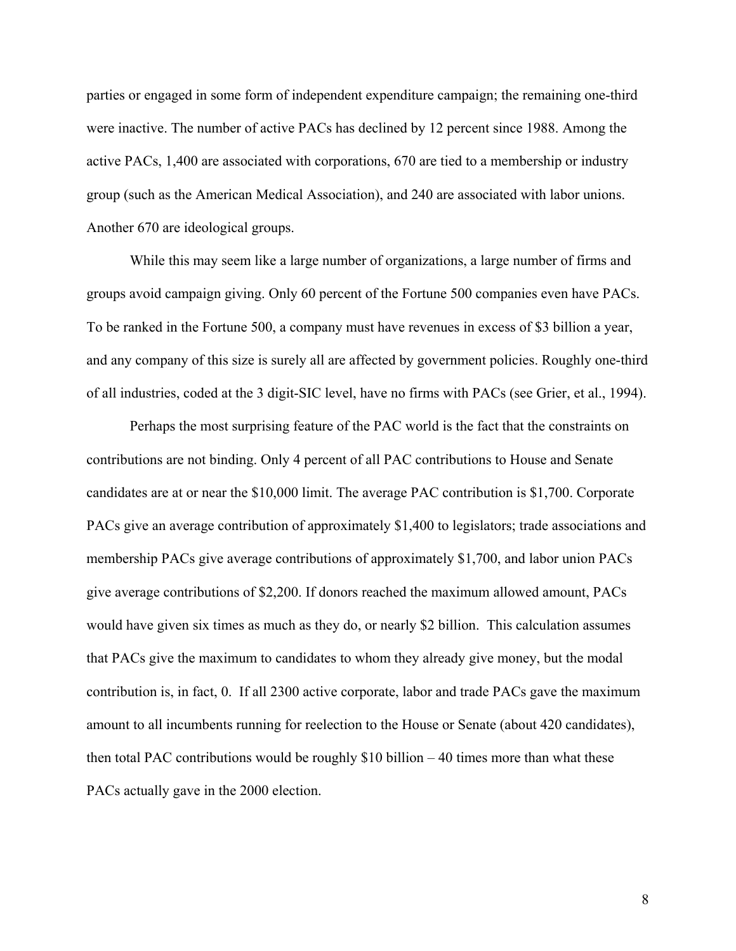parties or engaged in some form of independent expenditure campaign; the remaining one-third were inactive. The number of active PACs has declined by 12 percent since 1988. Among the active PACs, 1,400 are associated with corporations, 670 are tied to a membership or industry group (such as the American Medical Association), and 240 are associated with labor unions. Another 670 are ideological groups.

While this may seem like a large number of organizations, a large number of firms and groups avoid campaign giving. Only 60 percent of the Fortune 500 companies even have PACs. To be ranked in the Fortune 500, a company must have revenues in excess of \$3 billion a year, and any company of this size is surely all are affected by government policies. Roughly one-third of all industries, coded at the 3 digit-SIC level, have no firms with PACs (see Grier, et al., 1994).

Perhaps the most surprising feature of the PAC world is the fact that the constraints on contributions are not binding. Only 4 percent of all PAC contributions to House and Senate candidates are at or near the \$10,000 limit. The average PAC contribution is \$1,700. Corporate PACs give an average contribution of approximately \$1,400 to legislators; trade associations and membership PACs give average contributions of approximately \$1,700, and labor union PACs give average contributions of \$2,200. If donors reached the maximum allowed amount, PACs would have given six times as much as they do, or nearly \$2 billion. This calculation assumes that PACs give the maximum to candidates to whom they already give money, but the modal contribution is, in fact, 0. If all 2300 active corporate, labor and trade PACs gave the maximum amount to all incumbents running for reelection to the House or Senate (about 420 candidates), then total PAC contributions would be roughly \$10 billion – 40 times more than what these PACs actually gave in the 2000 election.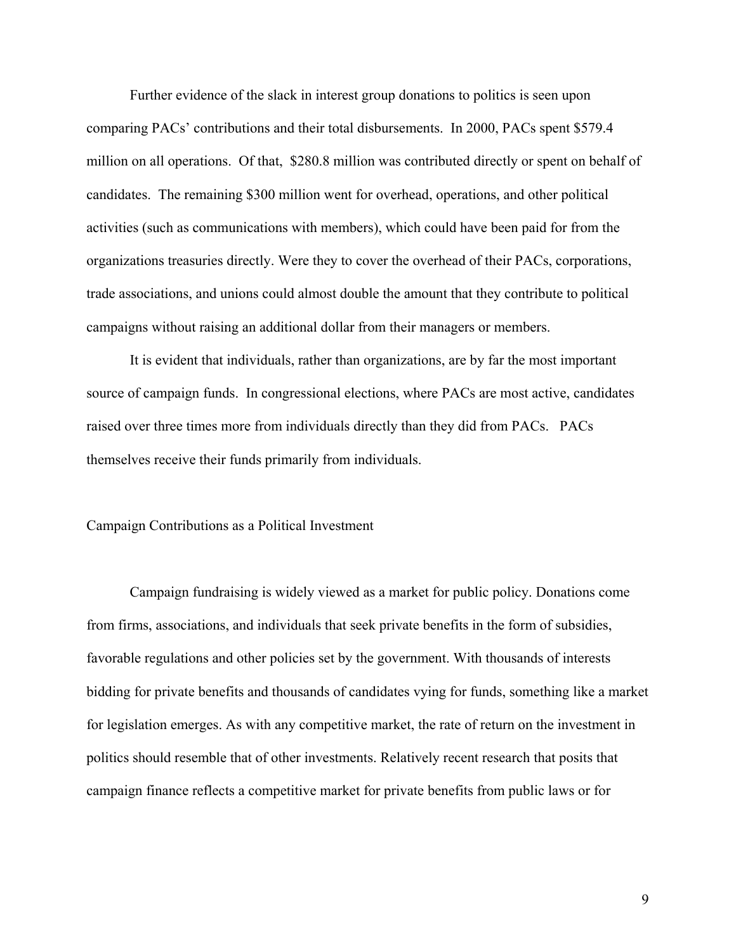Further evidence of the slack in interest group donations to politics is seen upon comparing PACs' contributions and their total disbursements. In 2000, PACs spent \$579.4 million on all operations. Of that, \$280.8 million was contributed directly or spent on behalf of candidates. The remaining \$300 million went for overhead, operations, and other political activities (such as communications with members), which could have been paid for from the organizations treasuries directly. Were they to cover the overhead of their PACs, corporations, trade associations, and unions could almost double the amount that they contribute to political campaigns without raising an additional dollar from their managers or members.

It is evident that individuals, rather than organizations, are by far the most important source of campaign funds. In congressional elections, where PACs are most active, candidates raised over three times more from individuals directly than they did from PACs. PACs themselves receive their funds primarily from individuals.

#### Campaign Contributions as a Political Investment

Campaign fundraising is widely viewed as a market for public policy. Donations come from firms, associations, and individuals that seek private benefits in the form of subsidies, favorable regulations and other policies set by the government. With thousands of interests bidding for private benefits and thousands of candidates vying for funds, something like a market for legislation emerges. As with any competitive market, the rate of return on the investment in politics should resemble that of other investments. Relatively recent research that posits that campaign finance reflects a competitive market for private benefits from public laws or for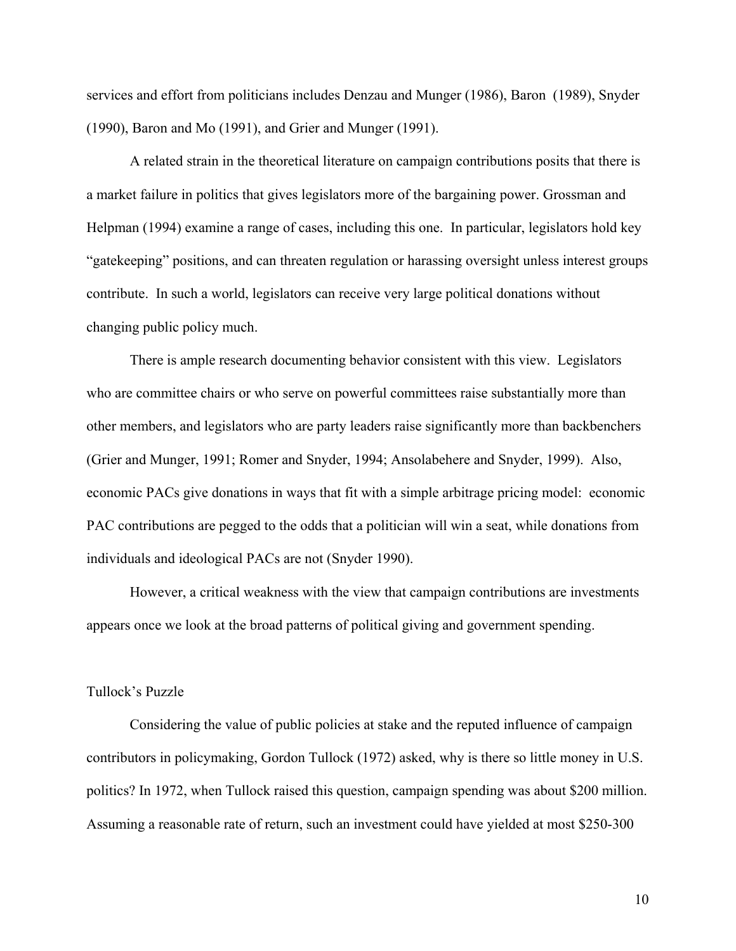services and effort from politicians includes Denzau and Munger (1986), Baron (1989), Snyder (1990), Baron and Mo (1991), and Grier and Munger (1991).

A related strain in the theoretical literature on campaign contributions posits that there is a market failure in politics that gives legislators more of the bargaining power. Grossman and Helpman (1994) examine a range of cases, including this one. In particular, legislators hold key "gatekeeping" positions, and can threaten regulation or harassing oversight unless interest groups contribute. In such a world, legislators can receive very large political donations without changing public policy much.

There is ample research documenting behavior consistent with this view. Legislators who are committee chairs or who serve on powerful committees raise substantially more than other members, and legislators who are party leaders raise significantly more than backbenchers (Grier and Munger, 1991; Romer and Snyder, 1994; Ansolabehere and Snyder, 1999). Also, economic PACs give donations in ways that fit with a simple arbitrage pricing model: economic PAC contributions are pegged to the odds that a politician will win a seat, while donations from individuals and ideological PACs are not (Snyder 1990).

However, a critical weakness with the view that campaign contributions are investments appears once we look at the broad patterns of political giving and government spending.

#### Tullock's Puzzle

Considering the value of public policies at stake and the reputed influence of campaign contributors in policymaking, Gordon Tullock (1972) asked, why is there so little money in U.S. politics? In 1972, when Tullock raised this question, campaign spending was about \$200 million. Assuming a reasonable rate of return, such an investment could have yielded at most \$250-300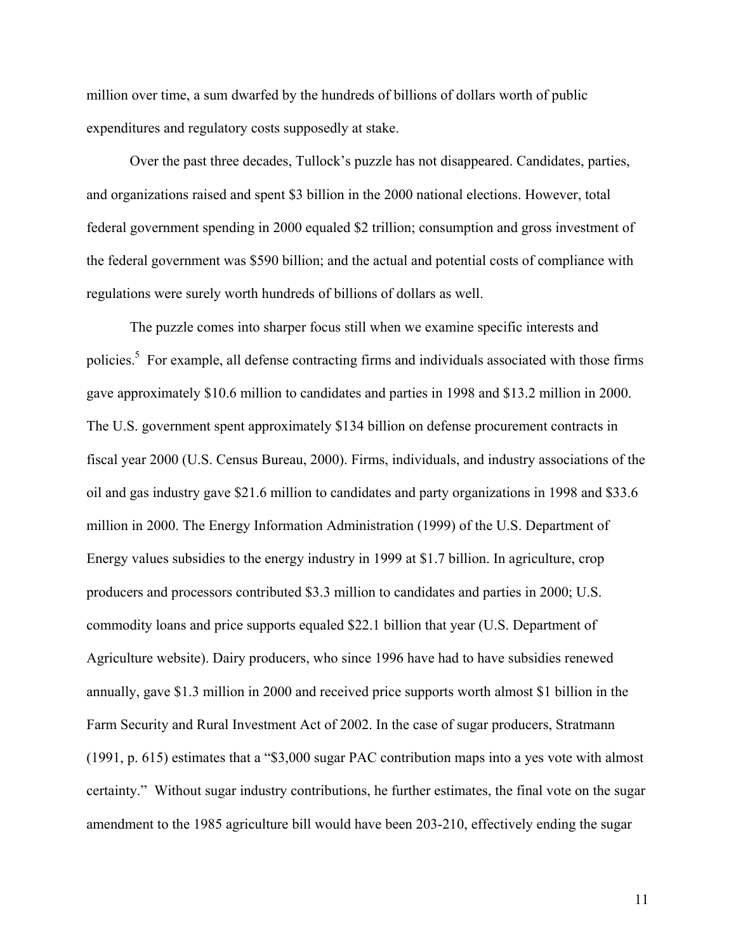million over time, a sum dwarfed by the hundreds of billions of dollars worth of public expenditures and regulatory costs supposedly at stake.

Over the past three decades, Tullock's puzzle has not disappeared. Candidates, parties, and organizations raised and spent \$3 billion in the 2000 national elections. However, total federal government spending in 2000 equaled \$2 trillion; consumption and gross investment of the federal government was \$590 billion; and the actual and potential costs of compliance with regulations were surely worth hundreds of billions of dollars as well.

The puzzle comes into sharper focus still when we examine specific interests and policies.<sup>5</sup> For example, all defense contracting firms and individuals associated with those firms gave approximately \$10.6 million to candidates and parties in 1998 and \$13.2 million in 2000. The U.S. government spent approximately \$134 billion on defense procurement contracts in fiscal year 2000 (U.S. Census Bureau, 2000). Firms, individuals, and industry associations of the oil and gas industry gave \$21.6 million to candidates and party organizations in 1998 and \$33.6 million in 2000. The Energy Information Administration (1999) of the U.S. Department of Energy values subsidies to the energy industry in 1999 at \$1.7 billion. In agriculture, crop producers and processors contributed \$3.3 million to candidates and parties in 2000; U.S. commodity loans and price supports equaled \$22.1 billion that year (U.S. Department of Agriculture website). Dairy producers, who since 1996 have had to have subsidies renewed annually, gave \$1.3 million in 2000 and received price supports worth almost \$1 billion in the Farm Security and Rural Investment Act of 2002. In the case of sugar producers, Stratmann (1991, p. 615) estimates that a "\$3,000 sugar PAC contribution maps into a yes vote with almost certainty." Without sugar industry contributions, he further estimates, the final vote on the sugar amendment to the 1985 agriculture bill would have been 203-210, effectively ending the sugar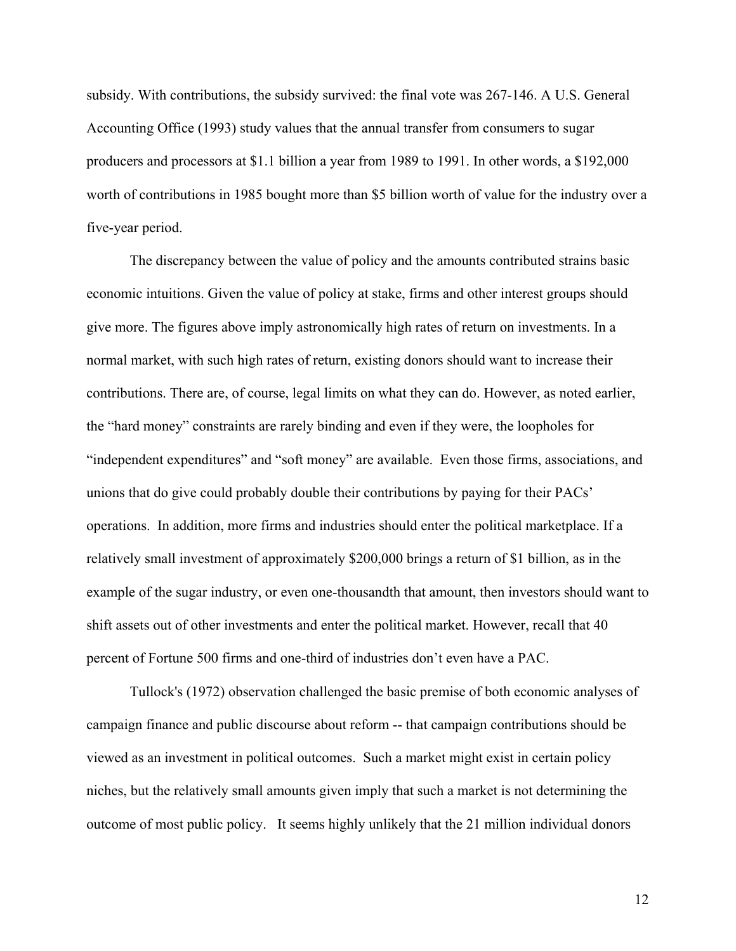subsidy. With contributions, the subsidy survived: the final vote was 267-146. A U.S. General Accounting Office (1993) study values that the annual transfer from consumers to sugar producers and processors at \$1.1 billion a year from 1989 to 1991. In other words, a \$192,000 worth of contributions in 1985 bought more than \$5 billion worth of value for the industry over a five-year period.

The discrepancy between the value of policy and the amounts contributed strains basic economic intuitions. Given the value of policy at stake, firms and other interest groups should give more. The figures above imply astronomically high rates of return on investments. In a normal market, with such high rates of return, existing donors should want to increase their contributions. There are, of course, legal limits on what they can do. However, as noted earlier, the "hard money" constraints are rarely binding and even if they were, the loopholes for "independent expenditures" and "soft money" are available. Even those firms, associations, and unions that do give could probably double their contributions by paying for their PACs' operations. In addition, more firms and industries should enter the political marketplace. If a relatively small investment of approximately \$200,000 brings a return of \$1 billion, as in the example of the sugar industry, or even one-thousandth that amount, then investors should want to shift assets out of other investments and enter the political market. However, recall that 40 percent of Fortune 500 firms and one-third of industries don't even have a PAC.

Tullock's (1972) observation challenged the basic premise of both economic analyses of campaign finance and public discourse about reform -- that campaign contributions should be viewed as an investment in political outcomes. Such a market might exist in certain policy niches, but the relatively small amounts given imply that such a market is not determining the outcome of most public policy. It seems highly unlikely that the 21 million individual donors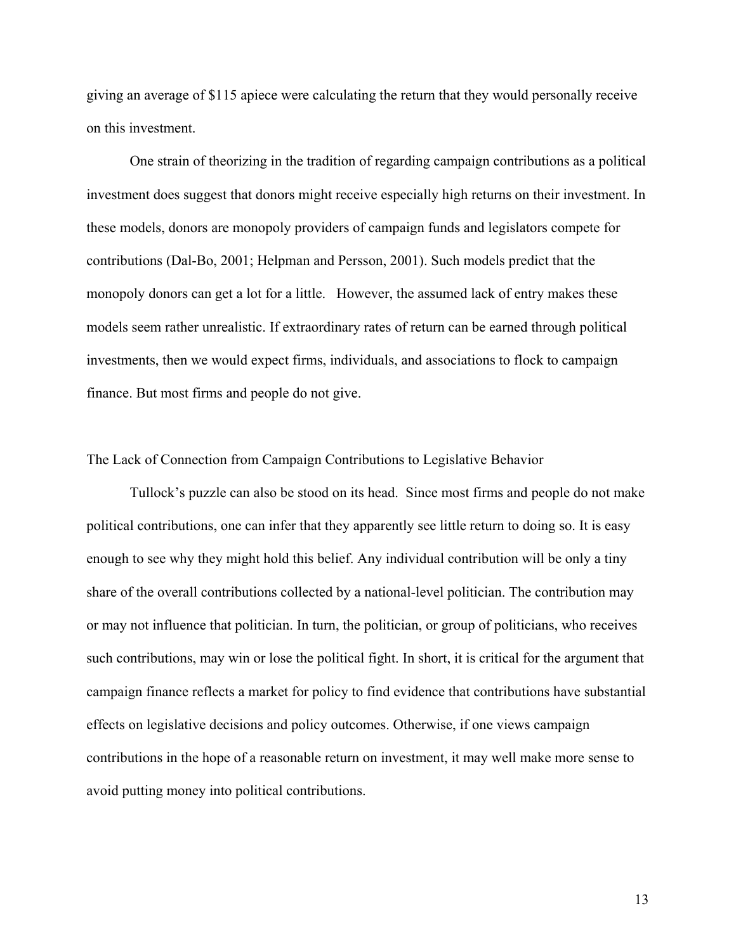giving an average of \$115 apiece were calculating the return that they would personally receive on this investment.

One strain of theorizing in the tradition of regarding campaign contributions as a political investment does suggest that donors might receive especially high returns on their investment. In these models, donors are monopoly providers of campaign funds and legislators compete for contributions (Dal-Bo, 2001; Helpman and Persson, 2001). Such models predict that the monopoly donors can get a lot for a little. However, the assumed lack of entry makes these models seem rather unrealistic. If extraordinary rates of return can be earned through political investments, then we would expect firms, individuals, and associations to flock to campaign finance. But most firms and people do not give.

# The Lack of Connection from Campaign Contributions to Legislative Behavior

 Tullock's puzzle can also be stood on its head. Since most firms and people do not make political contributions, one can infer that they apparently see little return to doing so. It is easy enough to see why they might hold this belief. Any individual contribution will be only a tiny share of the overall contributions collected by a national-level politician. The contribution may or may not influence that politician. In turn, the politician, or group of politicians, who receives such contributions, may win or lose the political fight. In short, it is critical for the argument that campaign finance reflects a market for policy to find evidence that contributions have substantial effects on legislative decisions and policy outcomes. Otherwise, if one views campaign contributions in the hope of a reasonable return on investment, it may well make more sense to avoid putting money into political contributions.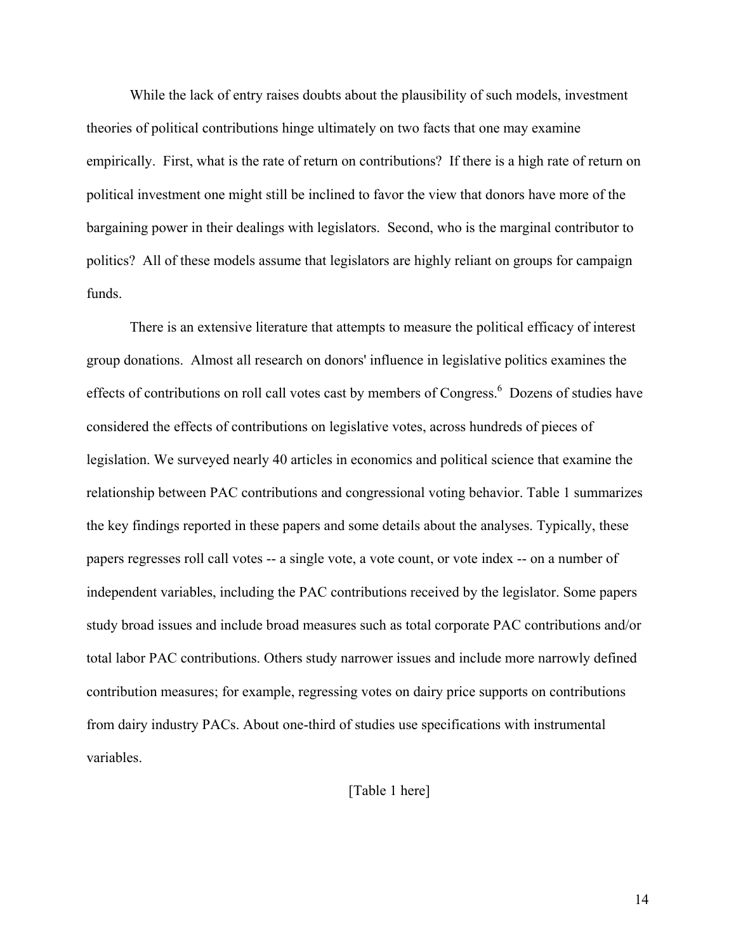While the lack of entry raises doubts about the plausibility of such models, investment theories of political contributions hinge ultimately on two facts that one may examine empirically. First, what is the rate of return on contributions? If there is a high rate of return on political investment one might still be inclined to favor the view that donors have more of the bargaining power in their dealings with legislators. Second, who is the marginal contributor to politics? All of these models assume that legislators are highly reliant on groups for campaign funds.

There is an extensive literature that attempts to measure the political efficacy of interest group donations. Almost all research on donors' influence in legislative politics examines the effects of contributions on roll call votes cast by members of Congress.<sup>6</sup> Dozens of studies have considered the effects of contributions on legislative votes, across hundreds of pieces of legislation. We surveyed nearly 40 articles in economics and political science that examine the relationship between PAC contributions and congressional voting behavior. Table 1 summarizes the key findings reported in these papers and some details about the analyses. Typically, these papers regresses roll call votes -- a single vote, a vote count, or vote index -- on a number of independent variables, including the PAC contributions received by the legislator. Some papers study broad issues and include broad measures such as total corporate PAC contributions and/or total labor PAC contributions. Others study narrower issues and include more narrowly defined contribution measures; for example, regressing votes on dairy price supports on contributions from dairy industry PACs. About one-third of studies use specifications with instrumental variables.

# [Table 1 here]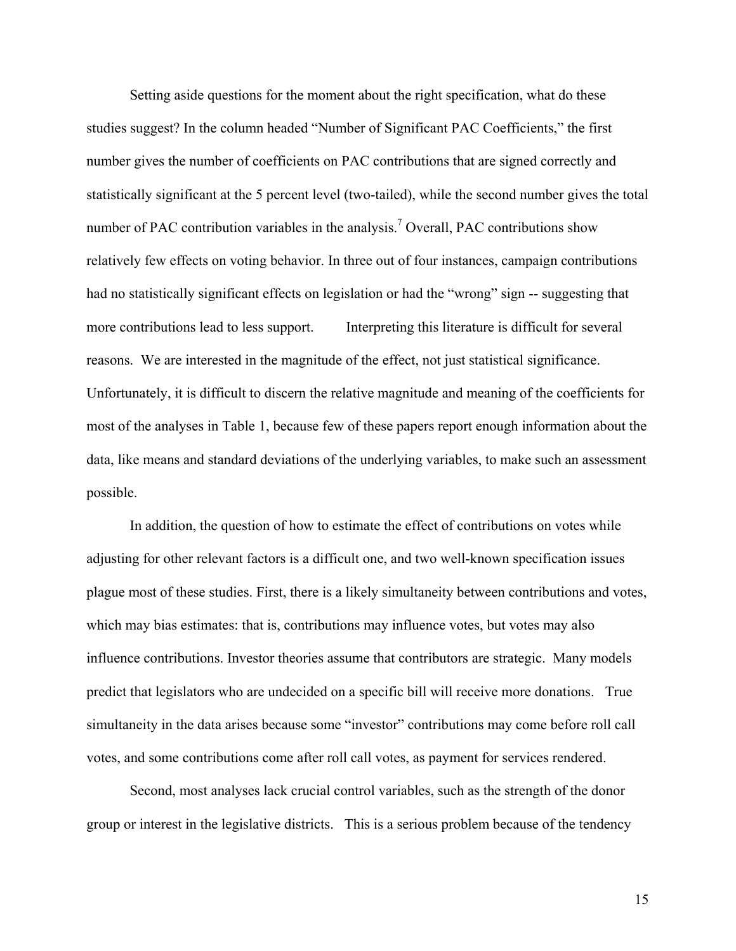Setting aside questions for the moment about the right specification, what do these studies suggest? In the column headed "Number of Significant PAC Coefficients," the first number gives the number of coefficients on PAC contributions that are signed correctly and statistically significant at the 5 percent level (two-tailed), while the second number gives the total number of PAC contribution variables in the analysis.<sup>7</sup> Overall, PAC contributions show relatively few effects on voting behavior. In three out of four instances, campaign contributions had no statistically significant effects on legislation or had the "wrong" sign -- suggesting that more contributions lead to less support. Interpreting this literature is difficult for several reasons. We are interested in the magnitude of the effect, not just statistical significance. Unfortunately, it is difficult to discern the relative magnitude and meaning of the coefficients for most of the analyses in Table 1, because few of these papers report enough information about the data, like means and standard deviations of the underlying variables, to make such an assessment possible.

In addition, the question of how to estimate the effect of contributions on votes while adjusting for other relevant factors is a difficult one, and two well-known specification issues plague most of these studies. First, there is a likely simultaneity between contributions and votes, which may bias estimates: that is, contributions may influence votes, but votes may also influence contributions. Investor theories assume that contributors are strategic. Many models predict that legislators who are undecided on a specific bill will receive more donations. True simultaneity in the data arises because some "investor" contributions may come before roll call votes, and some contributions come after roll call votes, as payment for services rendered.

Second, most analyses lack crucial control variables, such as the strength of the donor group or interest in the legislative districts. This is a serious problem because of the tendency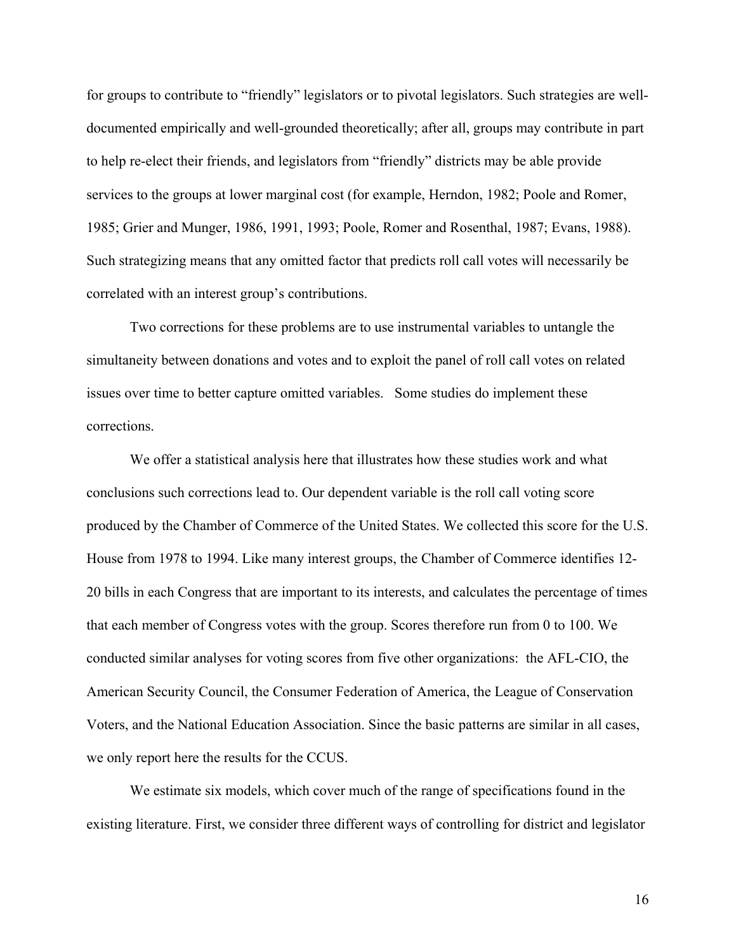for groups to contribute to "friendly" legislators or to pivotal legislators. Such strategies are welldocumented empirically and well-grounded theoretically; after all, groups may contribute in part to help re-elect their friends, and legislators from "friendly" districts may be able provide services to the groups at lower marginal cost (for example, Herndon, 1982; Poole and Romer, 1985; Grier and Munger, 1986, 1991, 1993; Poole, Romer and Rosenthal, 1987; Evans, 1988). Such strategizing means that any omitted factor that predicts roll call votes will necessarily be correlated with an interest group's contributions.

Two corrections for these problems are to use instrumental variables to untangle the simultaneity between donations and votes and to exploit the panel of roll call votes on related issues over time to better capture omitted variables. Some studies do implement these corrections.

We offer a statistical analysis here that illustrates how these studies work and what conclusions such corrections lead to. Our dependent variable is the roll call voting score produced by the Chamber of Commerce of the United States. We collected this score for the U.S. House from 1978 to 1994. Like many interest groups, the Chamber of Commerce identifies 12- 20 bills in each Congress that are important to its interests, and calculates the percentage of times that each member of Congress votes with the group. Scores therefore run from 0 to 100. We conducted similar analyses for voting scores from five other organizations: the AFL-CIO, the American Security Council, the Consumer Federation of America, the League of Conservation Voters, and the National Education Association. Since the basic patterns are similar in all cases, we only report here the results for the CCUS.

We estimate six models, which cover much of the range of specifications found in the existing literature. First, we consider three different ways of controlling for district and legislator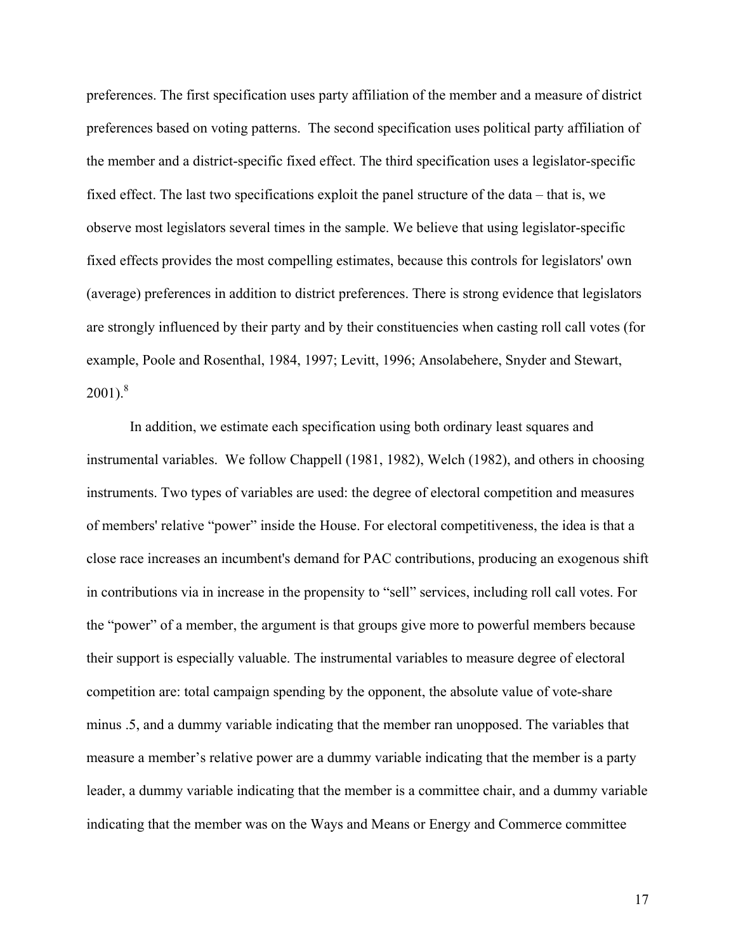preferences. The first specification uses party affiliation of the member and a measure of district preferences based on voting patterns. The second specification uses political party affiliation of the member and a district-specific fixed effect. The third specification uses a legislator-specific fixed effect. The last two specifications exploit the panel structure of the data – that is, we observe most legislators several times in the sample. We believe that using legislator-specific fixed effects provides the most compelling estimates, because this controls for legislators' own (average) preferences in addition to district preferences. There is strong evidence that legislators are strongly influenced by their party and by their constituencies when casting roll call votes (for example, Poole and Rosenthal, 1984, 1997; Levitt, 1996; Ansolabehere, Snyder and Stewart,  $2001$ ).<sup>8</sup>

In addition, we estimate each specification using both ordinary least squares and instrumental variables. We follow Chappell (1981, 1982), Welch (1982), and others in choosing instruments. Two types of variables are used: the degree of electoral competition and measures of members' relative "power" inside the House. For electoral competitiveness, the idea is that a close race increases an incumbent's demand for PAC contributions, producing an exogenous shift in contributions via in increase in the propensity to "sell" services, including roll call votes. For the "power" of a member, the argument is that groups give more to powerful members because their support is especially valuable. The instrumental variables to measure degree of electoral competition are: total campaign spending by the opponent, the absolute value of vote-share minus .5, and a dummy variable indicating that the member ran unopposed. The variables that measure a member's relative power are a dummy variable indicating that the member is a party leader, a dummy variable indicating that the member is a committee chair, and a dummy variable indicating that the member was on the Ways and Means or Energy and Commerce committee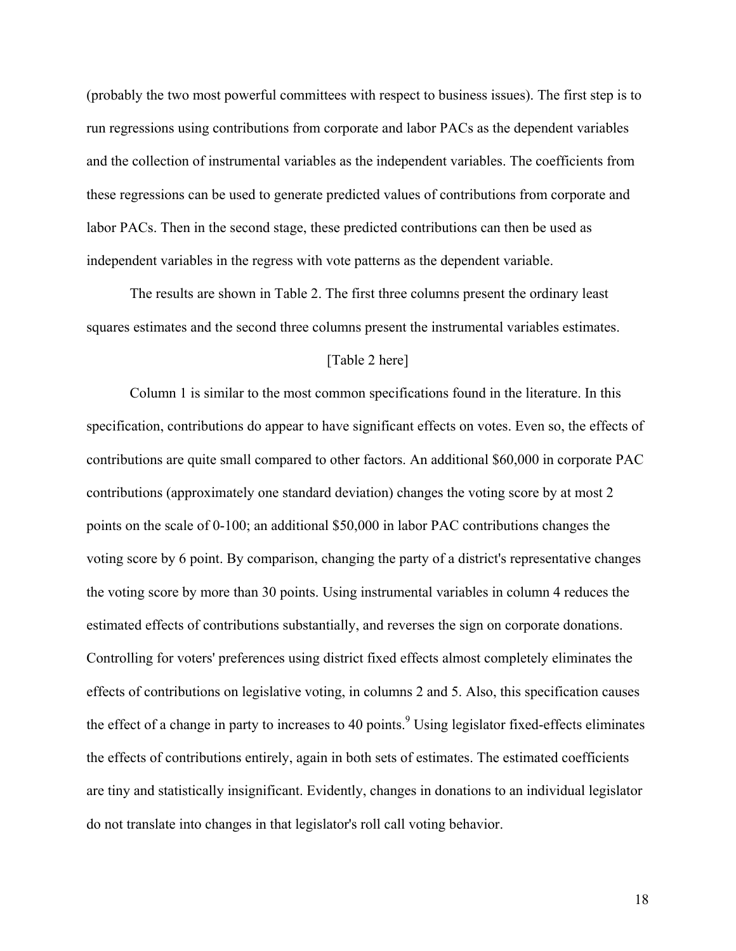(probably the two most powerful committees with respect to business issues). The first step is to run regressions using contributions from corporate and labor PACs as the dependent variables and the collection of instrumental variables as the independent variables. The coefficients from these regressions can be used to generate predicted values of contributions from corporate and labor PACs. Then in the second stage, these predicted contributions can then be used as independent variables in the regress with vote patterns as the dependent variable.

 The results are shown in Table 2. The first three columns present the ordinary least squares estimates and the second three columns present the instrumental variables estimates.

# [Table 2 here]

Column 1 is similar to the most common specifications found in the literature. In this specification, contributions do appear to have significant effects on votes. Even so, the effects of contributions are quite small compared to other factors. An additional \$60,000 in corporate PAC contributions (approximately one standard deviation) changes the voting score by at most 2 points on the scale of 0-100; an additional \$50,000 in labor PAC contributions changes the voting score by 6 point. By comparison, changing the party of a district's representative changes the voting score by more than 30 points. Using instrumental variables in column 4 reduces the estimated effects of contributions substantially, and reverses the sign on corporate donations. Controlling for voters' preferences using district fixed effects almost completely eliminates the effects of contributions on legislative voting, in columns 2 and 5. Also, this specification causes the effect of a change in party to increases to 40 points.<sup>9</sup> Using legislator fixed-effects eliminates the effects of contributions entirely, again in both sets of estimates. The estimated coefficients are tiny and statistically insignificant. Evidently, changes in donations to an individual legislator do not translate into changes in that legislator's roll call voting behavior.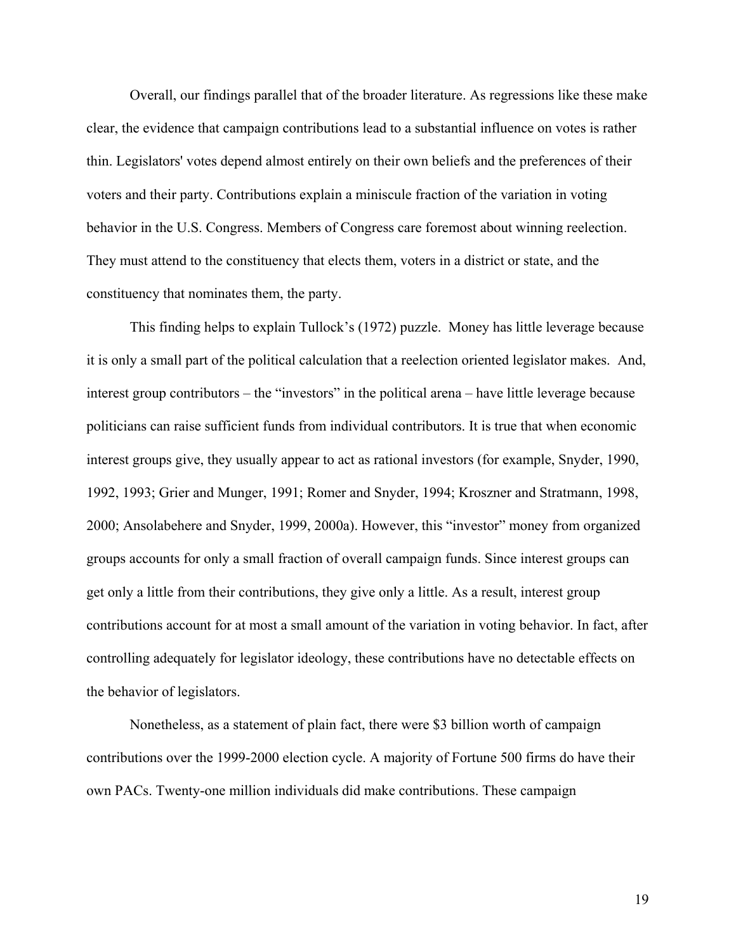Overall, our findings parallel that of the broader literature. As regressions like these make clear, the evidence that campaign contributions lead to a substantial influence on votes is rather thin. Legislators' votes depend almost entirely on their own beliefs and the preferences of their voters and their party. Contributions explain a miniscule fraction of the variation in voting behavior in the U.S. Congress. Members of Congress care foremost about winning reelection. They must attend to the constituency that elects them, voters in a district or state, and the constituency that nominates them, the party.

 This finding helps to explain Tullock's (1972) puzzle. Money has little leverage because it is only a small part of the political calculation that a reelection oriented legislator makes. And, interest group contributors – the "investors" in the political arena – have little leverage because politicians can raise sufficient funds from individual contributors. It is true that when economic interest groups give, they usually appear to act as rational investors (for example, Snyder, 1990, 1992, 1993; Grier and Munger, 1991; Romer and Snyder, 1994; Kroszner and Stratmann, 1998, 2000; Ansolabehere and Snyder, 1999, 2000a). However, this "investor" money from organized groups accounts for only a small fraction of overall campaign funds. Since interest groups can get only a little from their contributions, they give only a little. As a result, interest group contributions account for at most a small amount of the variation in voting behavior. In fact, after controlling adequately for legislator ideology, these contributions have no detectable effects on the behavior of legislators.

Nonetheless, as a statement of plain fact, there were \$3 billion worth of campaign contributions over the 1999-2000 election cycle. A majority of Fortune 500 firms do have their own PACs. Twenty-one million individuals did make contributions. These campaign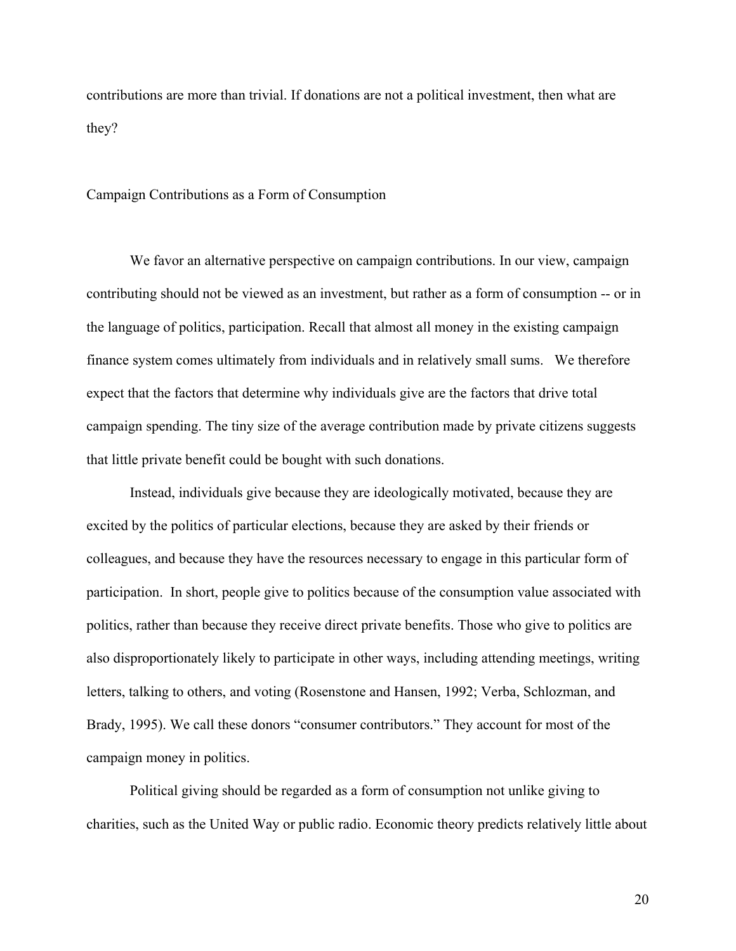contributions are more than trivial. If donations are not a political investment, then what are they?

#### Campaign Contributions as a Form of Consumption

We favor an alternative perspective on campaign contributions. In our view, campaign contributing should not be viewed as an investment, but rather as a form of consumption -- or in the language of politics, participation. Recall that almost all money in the existing campaign finance system comes ultimately from individuals and in relatively small sums. We therefore expect that the factors that determine why individuals give are the factors that drive total campaign spending. The tiny size of the average contribution made by private citizens suggests that little private benefit could be bought with such donations.

Instead, individuals give because they are ideologically motivated, because they are excited by the politics of particular elections, because they are asked by their friends or colleagues, and because they have the resources necessary to engage in this particular form of participation. In short, people give to politics because of the consumption value associated with politics, rather than because they receive direct private benefits. Those who give to politics are also disproportionately likely to participate in other ways, including attending meetings, writing letters, talking to others, and voting (Rosenstone and Hansen, 1992; Verba, Schlozman, and Brady, 1995). We call these donors "consumer contributors." They account for most of the campaign money in politics.

Political giving should be regarded as a form of consumption not unlike giving to charities, such as the United Way or public radio. Economic theory predicts relatively little about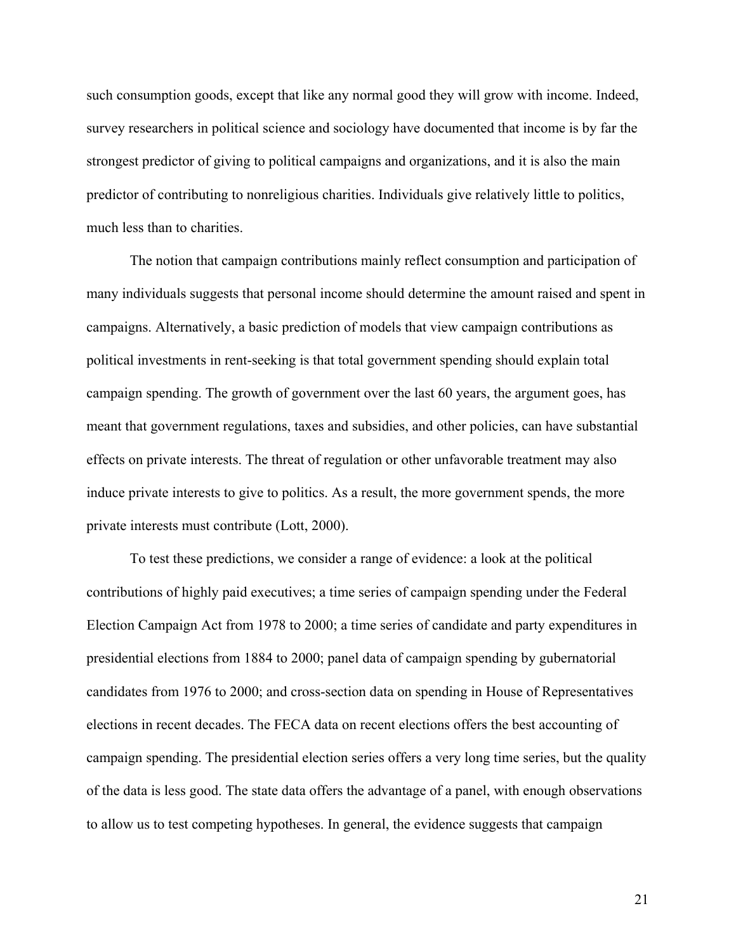such consumption goods, except that like any normal good they will grow with income. Indeed, survey researchers in political science and sociology have documented that income is by far the strongest predictor of giving to political campaigns and organizations, and it is also the main predictor of contributing to nonreligious charities. Individuals give relatively little to politics, much less than to charities.

 The notion that campaign contributions mainly reflect consumption and participation of many individuals suggests that personal income should determine the amount raised and spent in campaigns. Alternatively, a basic prediction of models that view campaign contributions as political investments in rent-seeking is that total government spending should explain total campaign spending. The growth of government over the last 60 years, the argument goes, has meant that government regulations, taxes and subsidies, and other policies, can have substantial effects on private interests. The threat of regulation or other unfavorable treatment may also induce private interests to give to politics. As a result, the more government spends, the more private interests must contribute (Lott, 2000).

 To test these predictions, we consider a range of evidence: a look at the political contributions of highly paid executives; a time series of campaign spending under the Federal Election Campaign Act from 1978 to 2000; a time series of candidate and party expenditures in presidential elections from 1884 to 2000; panel data of campaign spending by gubernatorial candidates from 1976 to 2000; and cross-section data on spending in House of Representatives elections in recent decades. The FECA data on recent elections offers the best accounting of campaign spending. The presidential election series offers a very long time series, but the quality of the data is less good. The state data offers the advantage of a panel, with enough observations to allow us to test competing hypotheses. In general, the evidence suggests that campaign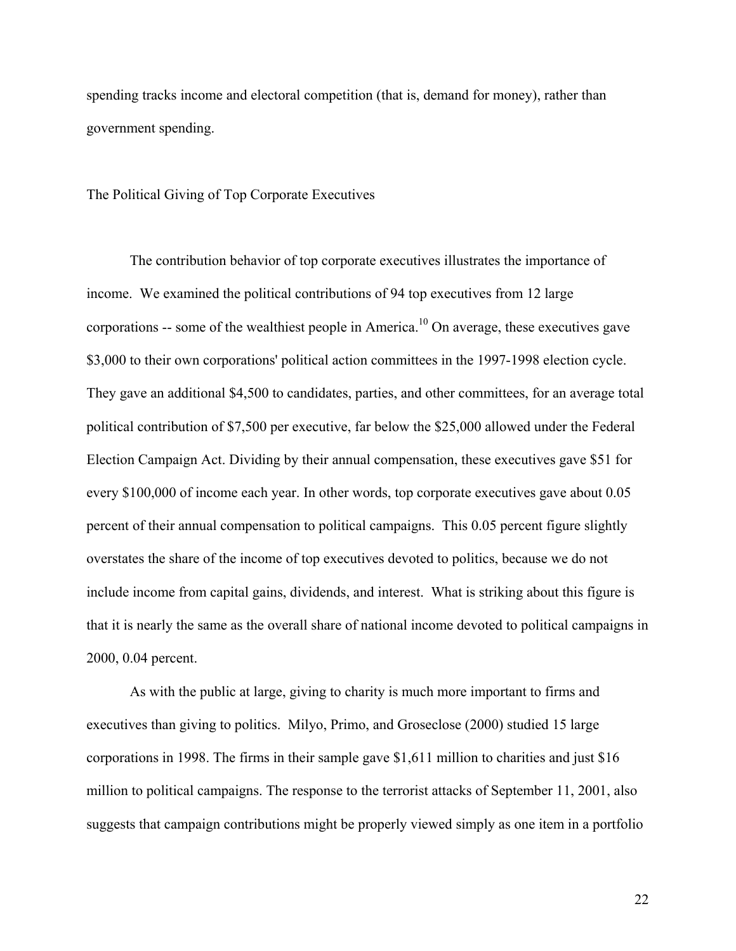spending tracks income and electoral competition (that is, demand for money), rather than government spending.

The Political Giving of Top Corporate Executives

The contribution behavior of top corporate executives illustrates the importance of income. We examined the political contributions of 94 top executives from 12 large corporations -- some of the wealthiest people in America.<sup>10</sup> On average, these executives gave \$3,000 to their own corporations' political action committees in the 1997-1998 election cycle. They gave an additional \$4,500 to candidates, parties, and other committees, for an average total political contribution of \$7,500 per executive, far below the \$25,000 allowed under the Federal Election Campaign Act. Dividing by their annual compensation, these executives gave \$51 for every \$100,000 of income each year. In other words, top corporate executives gave about 0.05 percent of their annual compensation to political campaigns. This 0.05 percent figure slightly overstates the share of the income of top executives devoted to politics, because we do not include income from capital gains, dividends, and interest. What is striking about this figure is that it is nearly the same as the overall share of national income devoted to political campaigns in 2000, 0.04 percent.

As with the public at large, giving to charity is much more important to firms and executives than giving to politics. Milyo, Primo, and Groseclose (2000) studied 15 large corporations in 1998. The firms in their sample gave \$1,611 million to charities and just \$16 million to political campaigns. The response to the terrorist attacks of September 11, 2001, also suggests that campaign contributions might be properly viewed simply as one item in a portfolio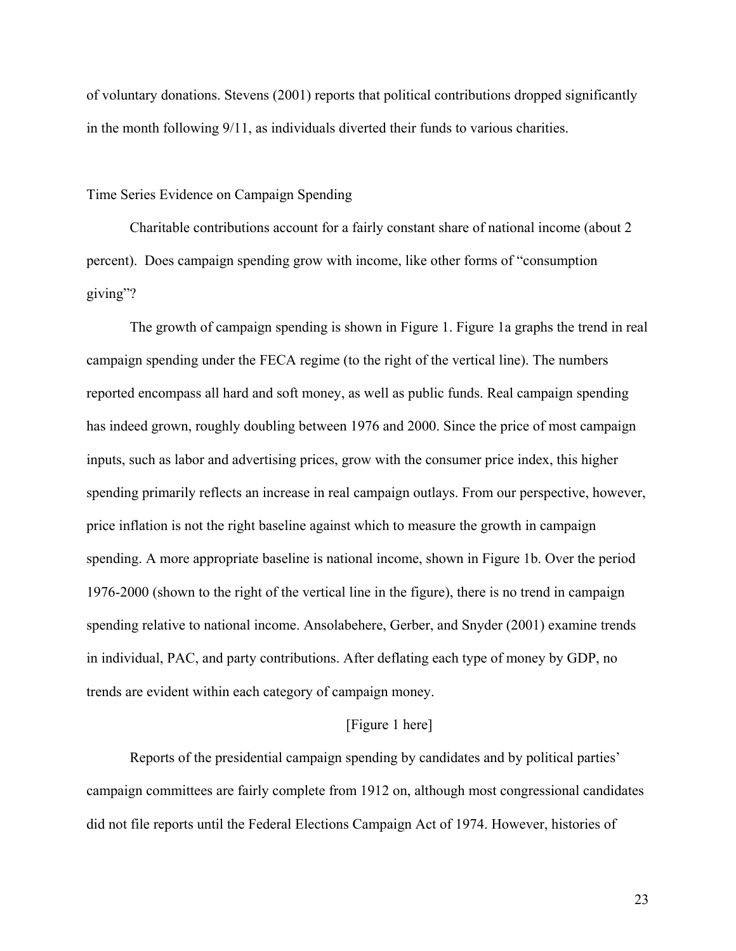of voluntary donations. Stevens (2001) reports that political contributions dropped significantly in the month following 9/11, as individuals diverted their funds to various charities.

### Time Series Evidence on Campaign Spending

Charitable contributions account for a fairly constant share of national income (about 2 percent). Does campaign spending grow with income, like other forms of "consumption giving"?

The growth of campaign spending is shown in Figure 1. Figure 1a graphs the trend in real campaign spending under the FECA regime (to the right of the vertical line). The numbers reported encompass all hard and soft money, as well as public funds. Real campaign spending has indeed grown, roughly doubling between 1976 and 2000. Since the price of most campaign inputs, such as labor and advertising prices, grow with the consumer price index, this higher spending primarily reflects an increase in real campaign outlays. From our perspective, however, price inflation is not the right baseline against which to measure the growth in campaign spending. A more appropriate baseline is national income, shown in Figure 1b. Over the period 1976-2000 (shown to the right of the vertical line in the figure), there is no trend in campaign spending relative to national income. Ansolabehere, Gerber, and Snyder (2001) examine trends in individual, PAC, and party contributions. After deflating each type of money by GDP, no trends are evident within each category of campaign money.

# [Figure 1 here]

Reports of the presidential campaign spending by candidates and by political parties' campaign committees are fairly complete from 1912 on, although most congressional candidates did not file reports until the Federal Elections Campaign Act of 1974. However, histories of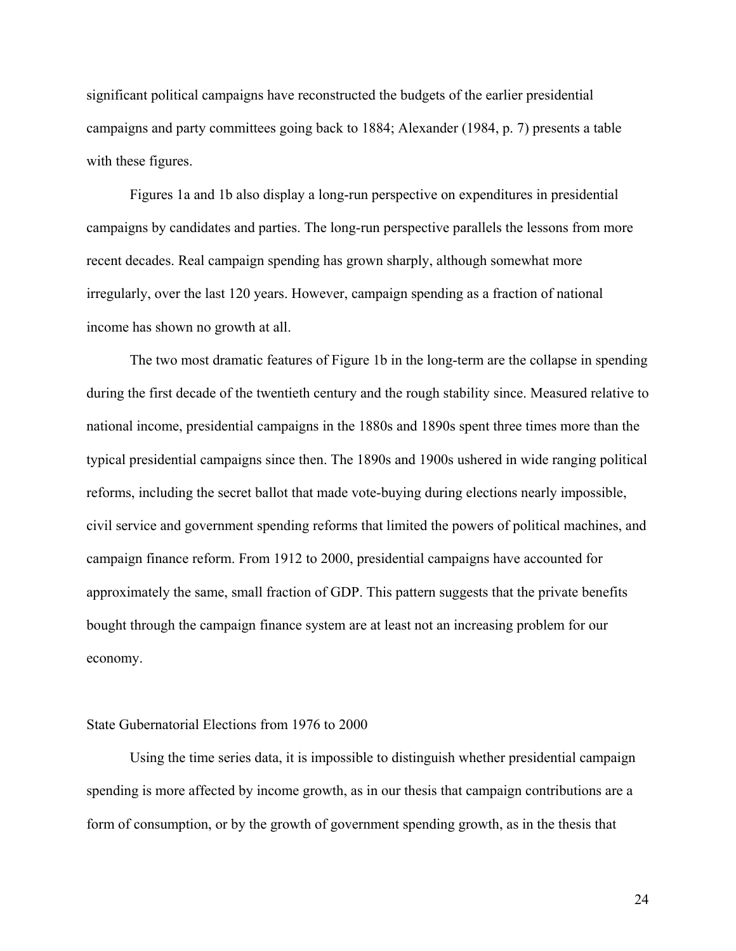significant political campaigns have reconstructed the budgets of the earlier presidential campaigns and party committees going back to 1884; Alexander (1984, p. 7) presents a table with these figures.

Figures 1a and 1b also display a long-run perspective on expenditures in presidential campaigns by candidates and parties. The long-run perspective parallels the lessons from more recent decades. Real campaign spending has grown sharply, although somewhat more irregularly, over the last 120 years. However, campaign spending as a fraction of national income has shown no growth at all.

The two most dramatic features of Figure 1b in the long-term are the collapse in spending during the first decade of the twentieth century and the rough stability since. Measured relative to national income, presidential campaigns in the 1880s and 1890s spent three times more than the typical presidential campaigns since then. The 1890s and 1900s ushered in wide ranging political reforms, including the secret ballot that made vote-buying during elections nearly impossible, civil service and government spending reforms that limited the powers of political machines, and campaign finance reform. From 1912 to 2000, presidential campaigns have accounted for approximately the same, small fraction of GDP. This pattern suggests that the private benefits bought through the campaign finance system are at least not an increasing problem for our economy.

#### State Gubernatorial Elections from 1976 to 2000

Using the time series data, it is impossible to distinguish whether presidential campaign spending is more affected by income growth, as in our thesis that campaign contributions are a form of consumption, or by the growth of government spending growth, as in the thesis that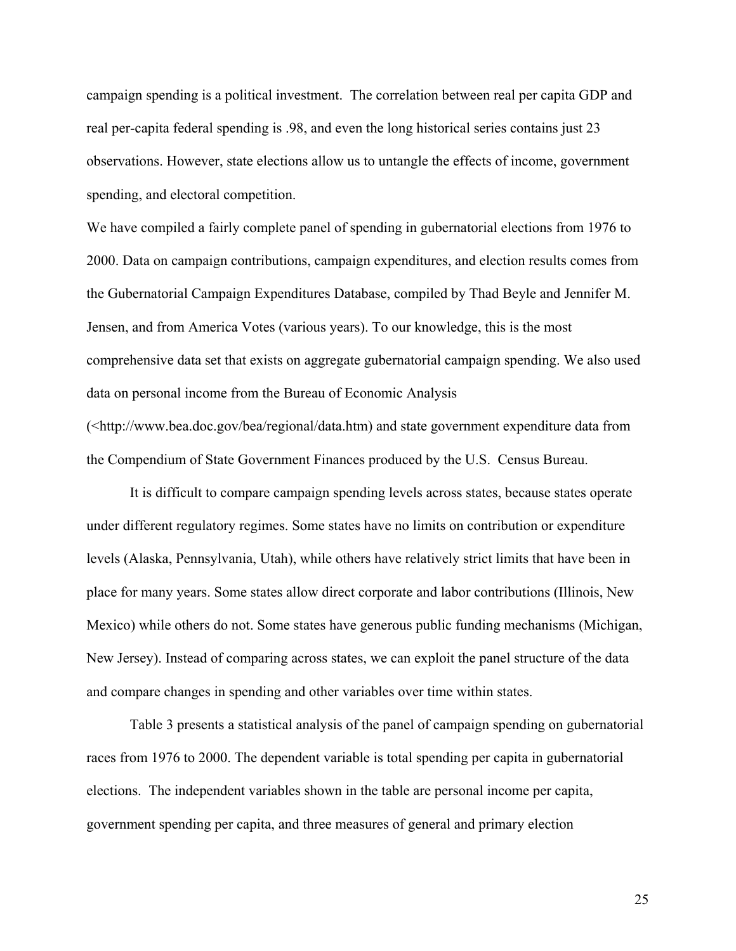campaign spending is a political investment. The correlation between real per capita GDP and real per-capita federal spending is .98, and even the long historical series contains just 23 observations. However, state elections allow us to untangle the effects of income, government spending, and electoral competition.

We have compiled a fairly complete panel of spending in gubernatorial elections from 1976 to 2000. Data on campaign contributions, campaign expenditures, and election results comes from the Gubernatorial Campaign Expenditures Database, compiled by Thad Beyle and Jennifer M. Jensen, and from America Votes (various years). To our knowledge, this is the most comprehensive data set that exists on aggregate gubernatorial campaign spending. We also used data on personal income from the Bureau of Economic Analysis

(<http://www.bea.doc.gov/bea/regional/data.htm) and state government expenditure data from the Compendium of State Government Finances produced by the U.S. Census Bureau.

It is difficult to compare campaign spending levels across states, because states operate under different regulatory regimes. Some states have no limits on contribution or expenditure levels (Alaska, Pennsylvania, Utah), while others have relatively strict limits that have been in place for many years. Some states allow direct corporate and labor contributions (Illinois, New Mexico) while others do not. Some states have generous public funding mechanisms (Michigan, New Jersey). Instead of comparing across states, we can exploit the panel structure of the data and compare changes in spending and other variables over time within states.

 Table 3 presents a statistical analysis of the panel of campaign spending on gubernatorial races from 1976 to 2000. The dependent variable is total spending per capita in gubernatorial elections. The independent variables shown in the table are personal income per capita, government spending per capita, and three measures of general and primary election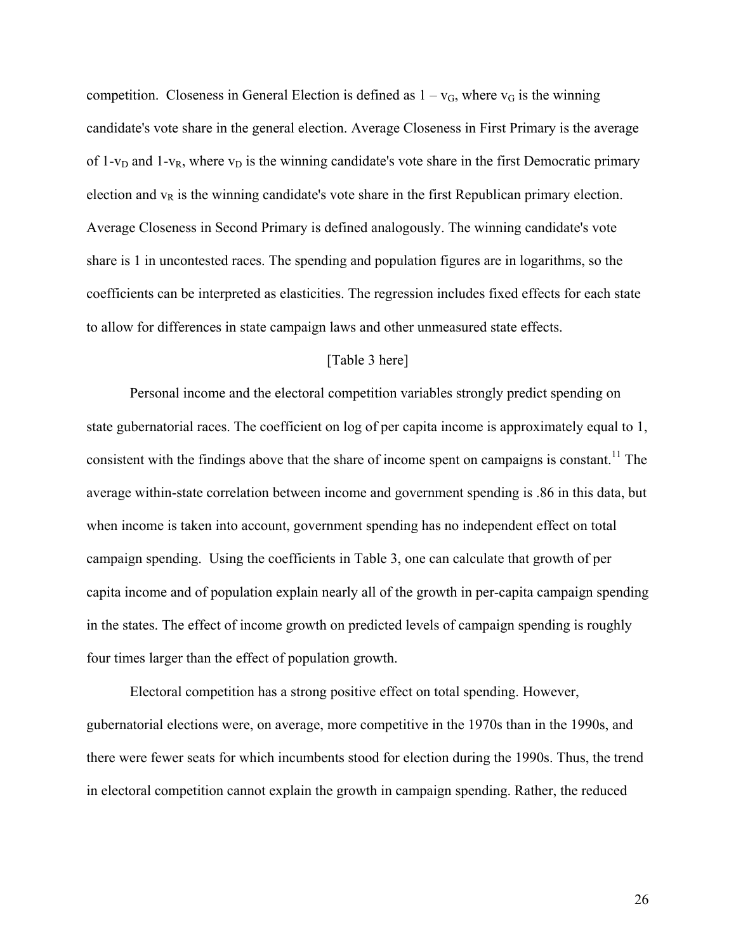competition. Closeness in General Election is defined as  $1 - v<sub>G</sub>$ , where  $v<sub>G</sub>$  is the winning candidate's vote share in the general election. Average Closeness in First Primary is the average of 1- $v_D$  and 1- $v_R$ , where  $v_D$  is the winning candidate's vote share in the first Democratic primary election and  $v_R$  is the winning candidate's vote share in the first Republican primary election. Average Closeness in Second Primary is defined analogously. The winning candidate's vote share is 1 in uncontested races. The spending and population figures are in logarithms, so the coefficients can be interpreted as elasticities. The regression includes fixed effects for each state to allow for differences in state campaign laws and other unmeasured state effects.

# [Table 3 here]

 Personal income and the electoral competition variables strongly predict spending on state gubernatorial races. The coefficient on log of per capita income is approximately equal to 1, consistent with the findings above that the share of income spent on campaigns is constant.<sup>11</sup> The average within-state correlation between income and government spending is .86 in this data, but when income is taken into account, government spending has no independent effect on total campaign spending. Using the coefficients in Table 3, one can calculate that growth of per capita income and of population explain nearly all of the growth in per-capita campaign spending in the states. The effect of income growth on predicted levels of campaign spending is roughly four times larger than the effect of population growth.

 Electoral competition has a strong positive effect on total spending. However, gubernatorial elections were, on average, more competitive in the 1970s than in the 1990s, and there were fewer seats for which incumbents stood for election during the 1990s. Thus, the trend in electoral competition cannot explain the growth in campaign spending. Rather, the reduced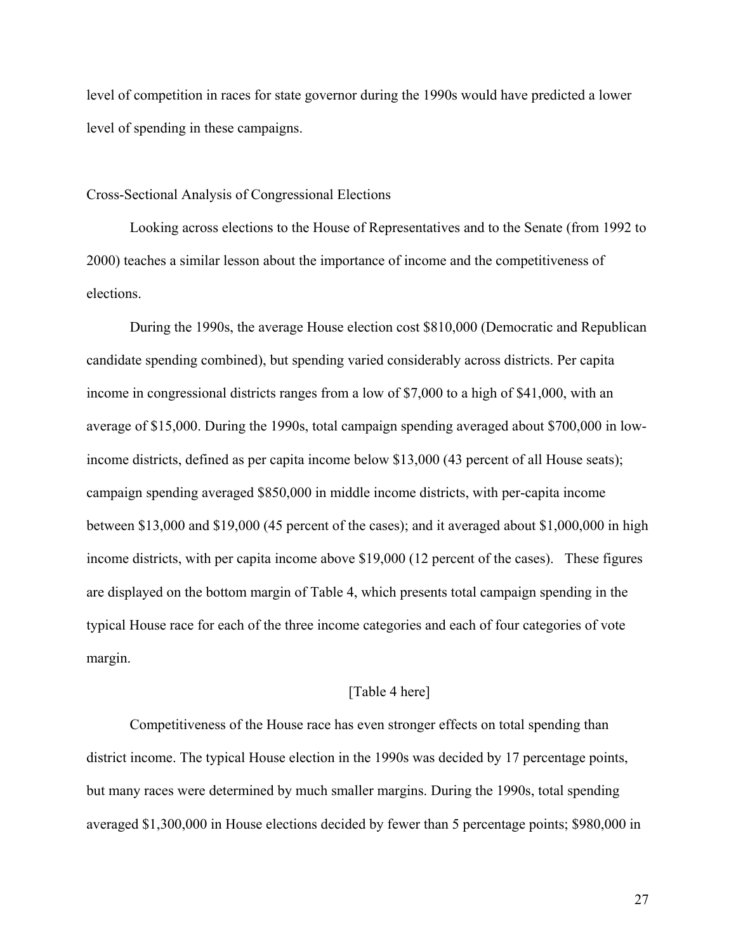level of competition in races for state governor during the 1990s would have predicted a lower level of spending in these campaigns.

### Cross-Sectional Analysis of Congressional Elections

Looking across elections to the House of Representatives and to the Senate (from 1992 to 2000) teaches a similar lesson about the importance of income and the competitiveness of elections.

During the 1990s, the average House election cost \$810,000 (Democratic and Republican candidate spending combined), but spending varied considerably across districts. Per capita income in congressional districts ranges from a low of \$7,000 to a high of \$41,000, with an average of \$15,000. During the 1990s, total campaign spending averaged about \$700,000 in lowincome districts, defined as per capita income below \$13,000 (43 percent of all House seats); campaign spending averaged \$850,000 in middle income districts, with per-capita income between \$13,000 and \$19,000 (45 percent of the cases); and it averaged about \$1,000,000 in high income districts, with per capita income above \$19,000 (12 percent of the cases). These figures are displayed on the bottom margin of Table 4, which presents total campaign spending in the typical House race for each of the three income categories and each of four categories of vote margin.

# [Table 4 here]

Competitiveness of the House race has even stronger effects on total spending than district income. The typical House election in the 1990s was decided by 17 percentage points, but many races were determined by much smaller margins. During the 1990s, total spending averaged \$1,300,000 in House elections decided by fewer than 5 percentage points; \$980,000 in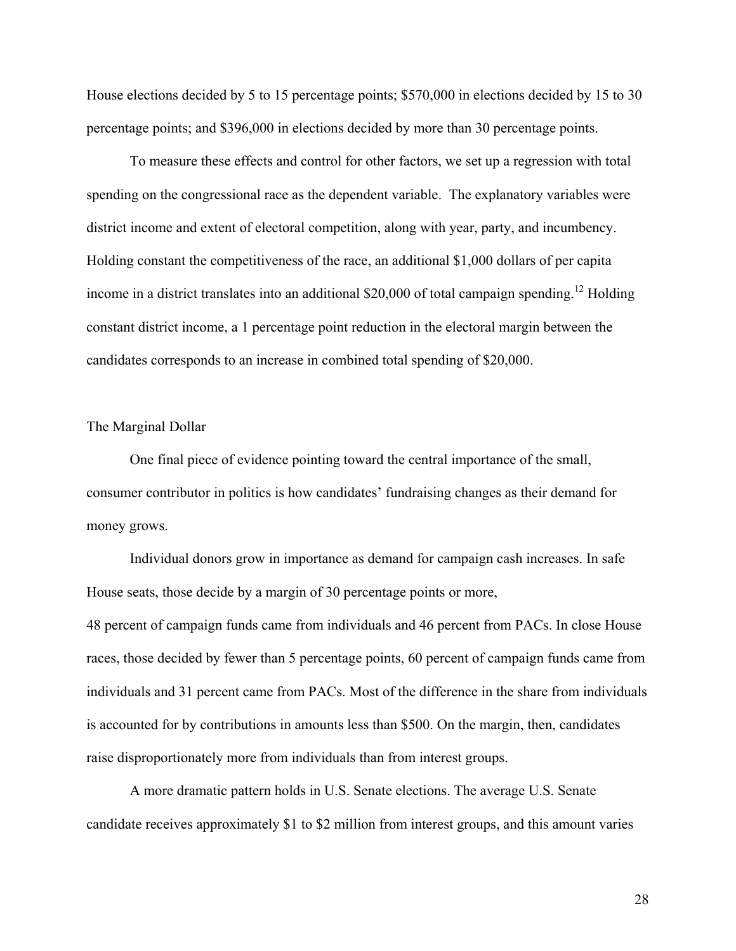House elections decided by 5 to 15 percentage points; \$570,000 in elections decided by 15 to 30 percentage points; and \$396,000 in elections decided by more than 30 percentage points.

To measure these effects and control for other factors, we set up a regression with total spending on the congressional race as the dependent variable. The explanatory variables were district income and extent of electoral competition, along with year, party, and incumbency. Holding constant the competitiveness of the race, an additional \$1,000 dollars of per capita income in a district translates into an additional \$20,000 of total campaign spending.<sup>12</sup> Holding constant district income, a 1 percentage point reduction in the electoral margin between the candidates corresponds to an increase in combined total spending of \$20,000.

#### The Marginal Dollar

One final piece of evidence pointing toward the central importance of the small, consumer contributor in politics is how candidates' fundraising changes as their demand for money grows.

Individual donors grow in importance as demand for campaign cash increases. In safe House seats, those decide by a margin of 30 percentage points or more, 48 percent of campaign funds came from individuals and 46 percent from PACs. In close House races, those decided by fewer than 5 percentage points, 60 percent of campaign funds came from individuals and 31 percent came from PACs. Most of the difference in the share from individuals is accounted for by contributions in amounts less than \$500. On the margin, then, candidates raise disproportionately more from individuals than from interest groups.

A more dramatic pattern holds in U.S. Senate elections. The average U.S. Senate candidate receives approximately \$1 to \$2 million from interest groups, and this amount varies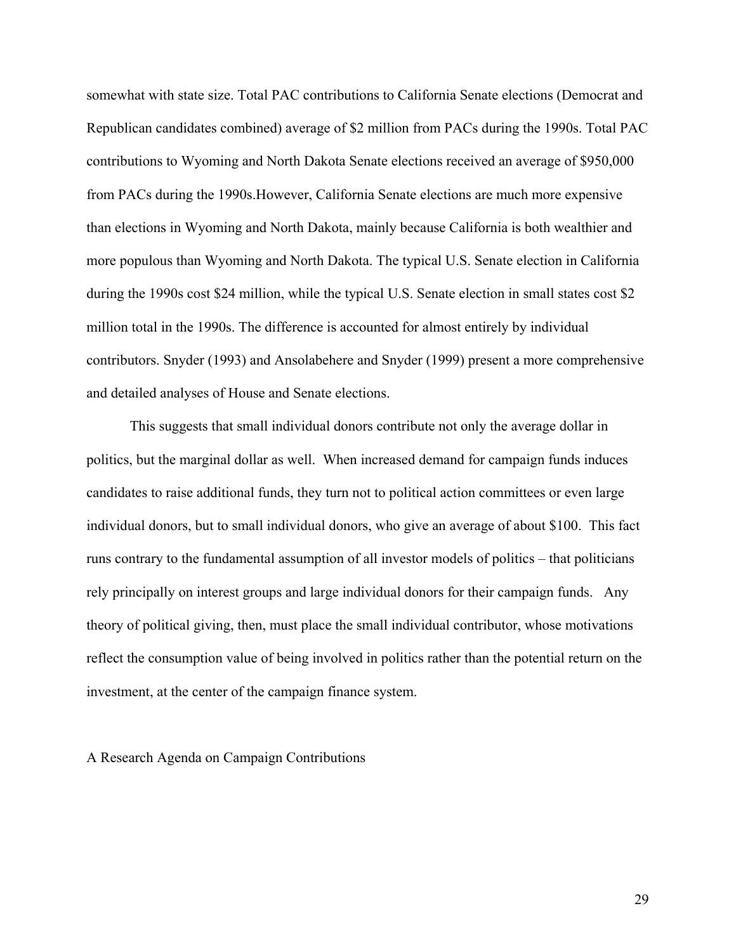somewhat with state size. Total PAC contributions to California Senate elections (Democrat and Republican candidates combined) average of \$2 million from PACs during the 1990s. Total PAC contributions to Wyoming and North Dakota Senate elections received an average of \$950,000 from PACs during the 1990s.However, California Senate elections are much more expensive than elections in Wyoming and North Dakota, mainly because California is both wealthier and more populous than Wyoming and North Dakota. The typical U.S. Senate election in California during the 1990s cost \$24 million, while the typical U.S. Senate election in small states cost \$2 million total in the 1990s. The difference is accounted for almost entirely by individual contributors. Snyder (1993) and Ansolabehere and Snyder (1999) present a more comprehensive and detailed analyses of House and Senate elections.

This suggests that small individual donors contribute not only the average dollar in politics, but the marginal dollar as well. When increased demand for campaign funds induces candidates to raise additional funds, they turn not to political action committees or even large individual donors, but to small individual donors, who give an average of about \$100. This fact runs contrary to the fundamental assumption of all investor models of politics – that politicians rely principally on interest groups and large individual donors for their campaign funds. Any theory of political giving, then, must place the small individual contributor, whose motivations reflect the consumption value of being involved in politics rather than the potential return on the investment, at the center of the campaign finance system.

A Research Agenda on Campaign Contributions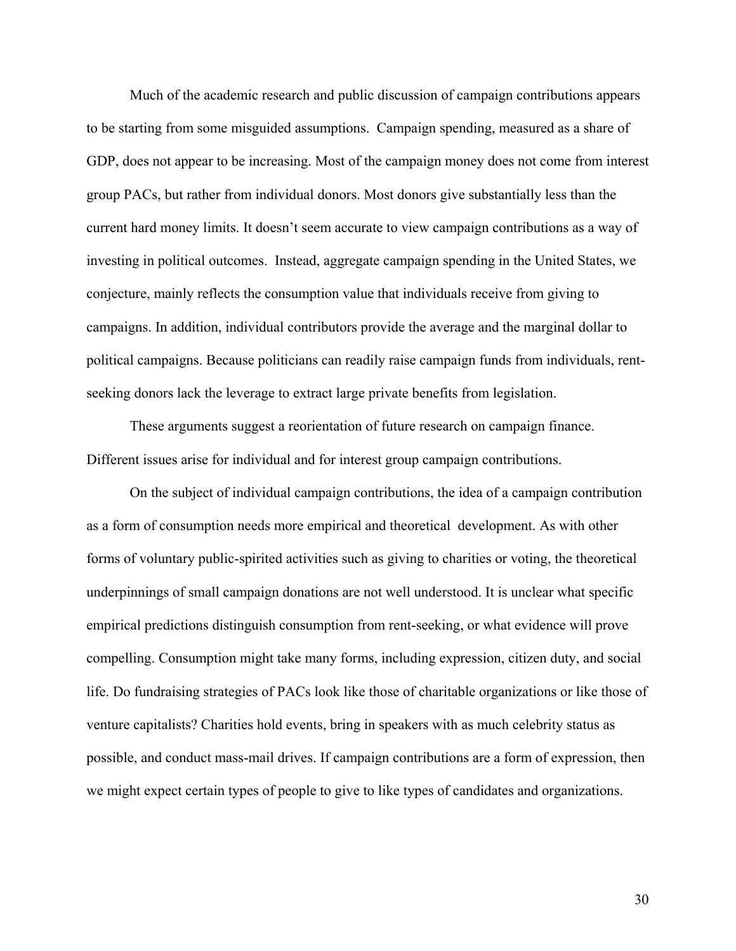Much of the academic research and public discussion of campaign contributions appears to be starting from some misguided assumptions. Campaign spending, measured as a share of GDP, does not appear to be increasing. Most of the campaign money does not come from interest group PACs, but rather from individual donors. Most donors give substantially less than the current hard money limits. It doesn't seem accurate to view campaign contributions as a way of investing in political outcomes. Instead, aggregate campaign spending in the United States, we conjecture, mainly reflects the consumption value that individuals receive from giving to campaigns. In addition, individual contributors provide the average and the marginal dollar to political campaigns. Because politicians can readily raise campaign funds from individuals, rentseeking donors lack the leverage to extract large private benefits from legislation.

These arguments suggest a reorientation of future research on campaign finance. Different issues arise for individual and for interest group campaign contributions.

On the subject of individual campaign contributions, the idea of a campaign contribution as a form of consumption needs more empirical and theoretical development. As with other forms of voluntary public-spirited activities such as giving to charities or voting, the theoretical underpinnings of small campaign donations are not well understood. It is unclear what specific empirical predictions distinguish consumption from rent-seeking, or what evidence will prove compelling. Consumption might take many forms, including expression, citizen duty, and social life. Do fundraising strategies of PACs look like those of charitable organizations or like those of venture capitalists? Charities hold events, bring in speakers with as much celebrity status as possible, and conduct mass-mail drives. If campaign contributions are a form of expression, then we might expect certain types of people to give to like types of candidates and organizations.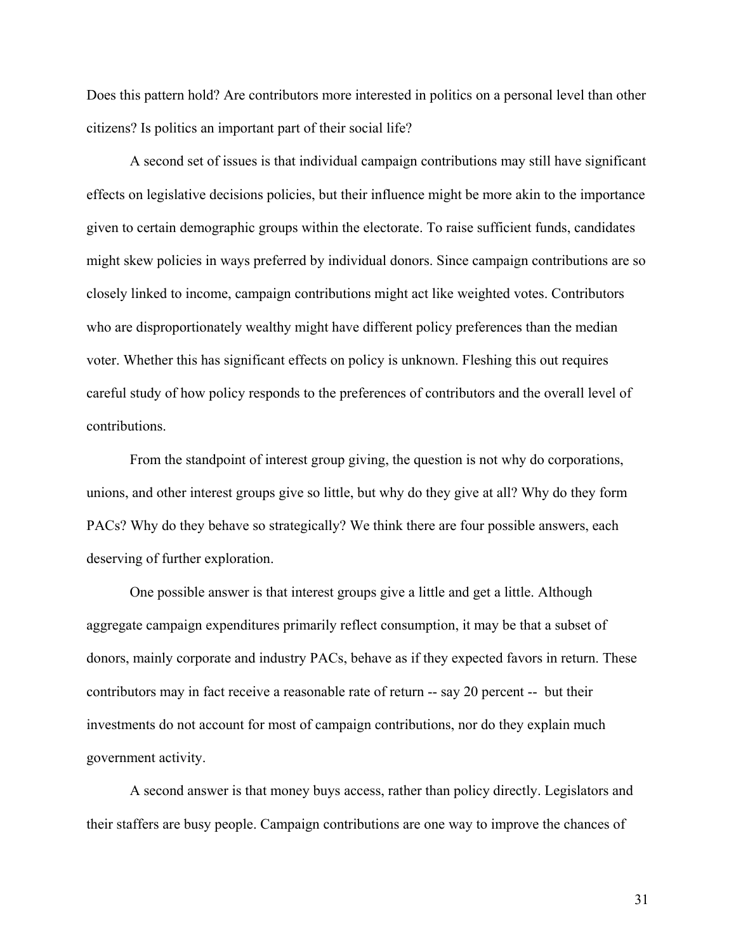Does this pattern hold? Are contributors more interested in politics on a personal level than other citizens? Is politics an important part of their social life?

A second set of issues is that individual campaign contributions may still have significant effects on legislative decisions policies, but their influence might be more akin to the importance given to certain demographic groups within the electorate. To raise sufficient funds, candidates might skew policies in ways preferred by individual donors. Since campaign contributions are so closely linked to income, campaign contributions might act like weighted votes. Contributors who are disproportionately wealthy might have different policy preferences than the median voter. Whether this has significant effects on policy is unknown. Fleshing this out requires careful study of how policy responds to the preferences of contributors and the overall level of contributions.

 From the standpoint of interest group giving, the question is not why do corporations, unions, and other interest groups give so little, but why do they give at all? Why do they form PACs? Why do they behave so strategically? We think there are four possible answers, each deserving of further exploration.

One possible answer is that interest groups give a little and get a little. Although aggregate campaign expenditures primarily reflect consumption, it may be that a subset of donors, mainly corporate and industry PACs, behave as if they expected favors in return. These contributors may in fact receive a reasonable rate of return -- say 20 percent -- but their investments do not account for most of campaign contributions, nor do they explain much government activity.

 A second answer is that money buys access, rather than policy directly. Legislators and their staffers are busy people. Campaign contributions are one way to improve the chances of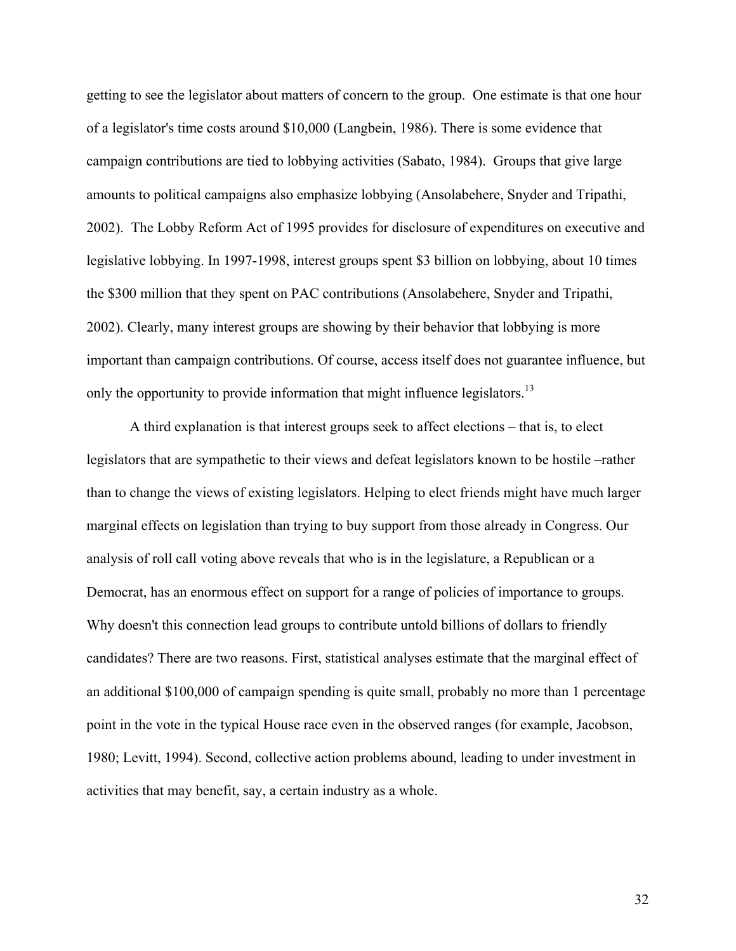getting to see the legislator about matters of concern to the group. One estimate is that one hour of a legislator's time costs around \$10,000 (Langbein, 1986). There is some evidence that campaign contributions are tied to lobbying activities (Sabato, 1984). Groups that give large amounts to political campaigns also emphasize lobbying (Ansolabehere, Snyder and Tripathi, 2002). The Lobby Reform Act of 1995 provides for disclosure of expenditures on executive and legislative lobbying. In 1997-1998, interest groups spent \$3 billion on lobbying, about 10 times the \$300 million that they spent on PAC contributions (Ansolabehere, Snyder and Tripathi, 2002). Clearly, many interest groups are showing by their behavior that lobbying is more important than campaign contributions. Of course, access itself does not guarantee influence, but only the opportunity to provide information that might influence legislators.<sup>13</sup>

 A third explanation is that interest groups seek to affect elections – that is, to elect legislators that are sympathetic to their views and defeat legislators known to be hostile –rather than to change the views of existing legislators. Helping to elect friends might have much larger marginal effects on legislation than trying to buy support from those already in Congress. Our analysis of roll call voting above reveals that who is in the legislature, a Republican or a Democrat, has an enormous effect on support for a range of policies of importance to groups. Why doesn't this connection lead groups to contribute untold billions of dollars to friendly candidates? There are two reasons. First, statistical analyses estimate that the marginal effect of an additional \$100,000 of campaign spending is quite small, probably no more than 1 percentage point in the vote in the typical House race even in the observed ranges (for example, Jacobson, 1980; Levitt, 1994). Second, collective action problems abound, leading to under investment in activities that may benefit, say, a certain industry as a whole.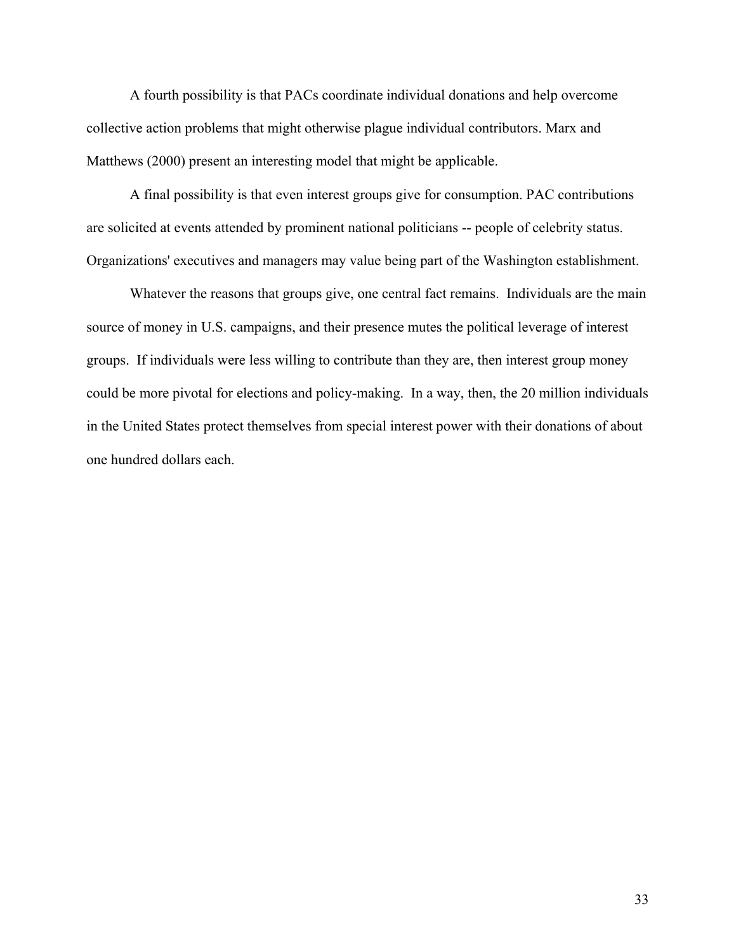A fourth possibility is that PACs coordinate individual donations and help overcome collective action problems that might otherwise plague individual contributors. Marx and Matthews (2000) present an interesting model that might be applicable.

A final possibility is that even interest groups give for consumption. PAC contributions are solicited at events attended by prominent national politicians -- people of celebrity status. Organizations' executives and managers may value being part of the Washington establishment.

Whatever the reasons that groups give, one central fact remains. Individuals are the main source of money in U.S. campaigns, and their presence mutes the political leverage of interest groups. If individuals were less willing to contribute than they are, then interest group money could be more pivotal for elections and policy-making. In a way, then, the 20 million individuals in the United States protect themselves from special interest power with their donations of about one hundred dollars each.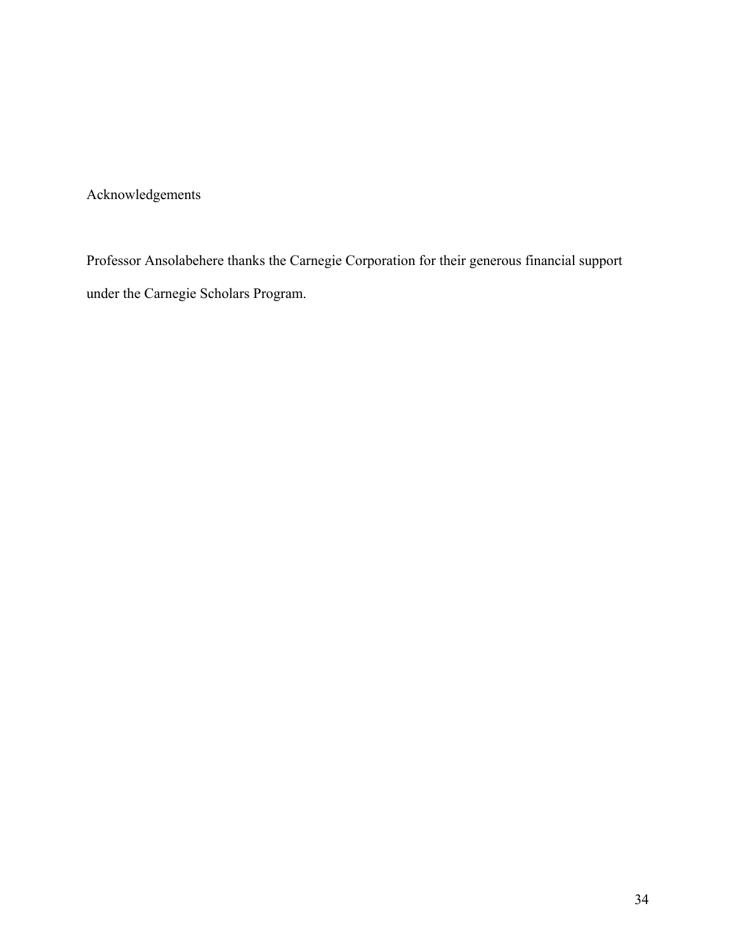Acknowledgements

Professor Ansolabehere thanks the Carnegie Corporation for their generous financial support under the Carnegie Scholars Program.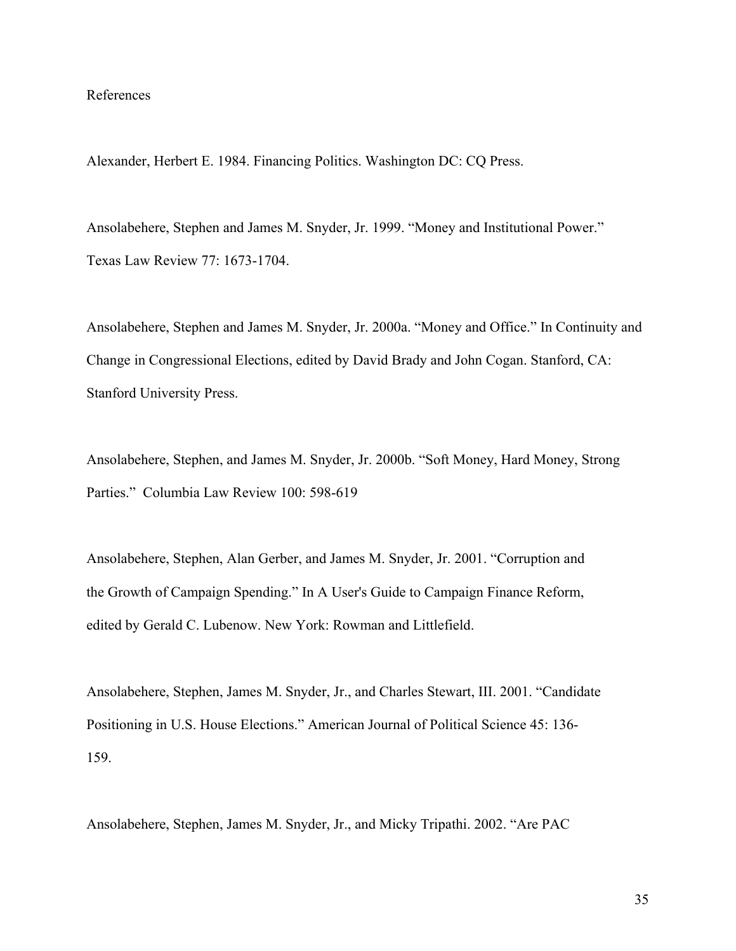#### References

Alexander, Herbert E. 1984. Financing Politics. Washington DC: CQ Press.

Ansolabehere, Stephen and James M. Snyder, Jr. 1999. "Money and Institutional Power." Texas Law Review 77: 1673-1704.

Ansolabehere, Stephen and James M. Snyder, Jr. 2000a. "Money and Office." In Continuity and Change in Congressional Elections, edited by David Brady and John Cogan. Stanford, CA: Stanford University Press.

Ansolabehere, Stephen, and James M. Snyder, Jr. 2000b. "Soft Money, Hard Money, Strong Parties." Columbia Law Review 100: 598-619

Ansolabehere, Stephen, Alan Gerber, and James M. Snyder, Jr. 2001. "Corruption and the Growth of Campaign Spending." In A User's Guide to Campaign Finance Reform, edited by Gerald C. Lubenow. New York: Rowman and Littlefield.

Ansolabehere, Stephen, James M. Snyder, Jr., and Charles Stewart, III. 2001. "Candidate Positioning in U.S. House Elections." American Journal of Political Science 45: 136- 159.

Ansolabehere, Stephen, James M. Snyder, Jr., and Micky Tripathi. 2002. "Are PAC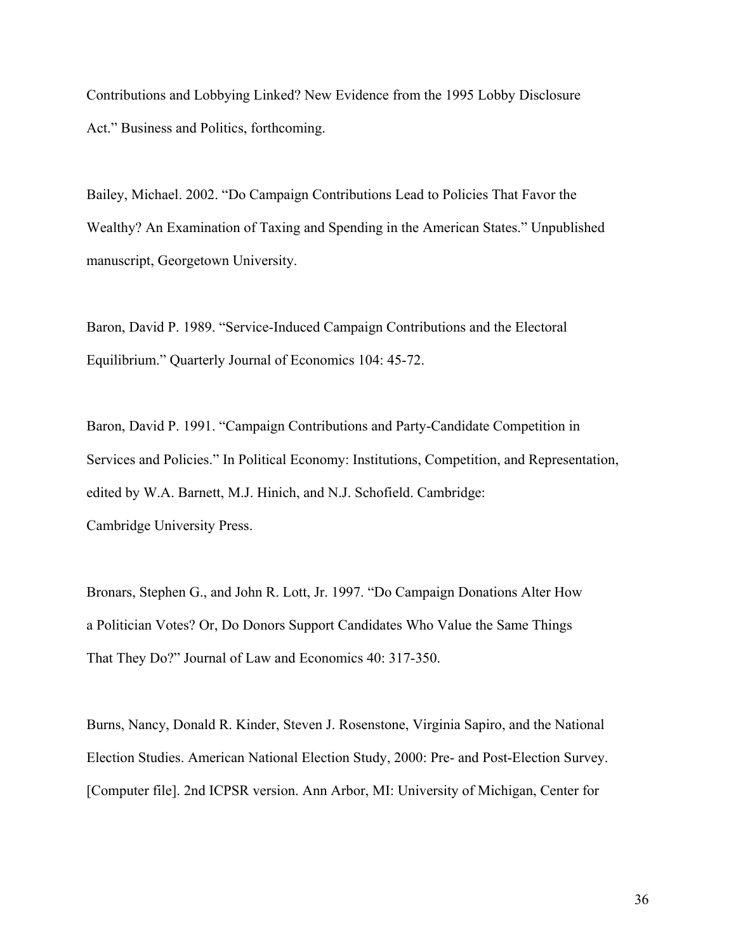Contributions and Lobbying Linked? New Evidence from the 1995 Lobby Disclosure Act." Business and Politics, forthcoming.

Bailey, Michael. 2002. "Do Campaign Contributions Lead to Policies That Favor the Wealthy? An Examination of Taxing and Spending in the American States." Unpublished manuscript, Georgetown University.

Baron, David P. 1989. "Service-Induced Campaign Contributions and the Electoral Equilibrium." Quarterly Journal of Economics 104: 45-72.

Baron, David P. 1991. "Campaign Contributions and Party-Candidate Competition in Services and Policies." In Political Economy: Institutions, Competition, and Representation, edited by W.A. Barnett, M.J. Hinich, and N.J. Schofield. Cambridge: Cambridge University Press.

Bronars, Stephen G., and John R. Lott, Jr. 1997. "Do Campaign Donations Alter How a Politician Votes? Or, Do Donors Support Candidates Who Value the Same Things That They Do?" Journal of Law and Economics 40: 317-350.

Burns, Nancy, Donald R. Kinder, Steven J. Rosenstone, Virginia Sapiro, and the National Election Studies. American National Election Study, 2000: Pre- and Post-Election Survey. [Computer file]. 2nd ICPSR version. Ann Arbor, MI: University of Michigan, Center for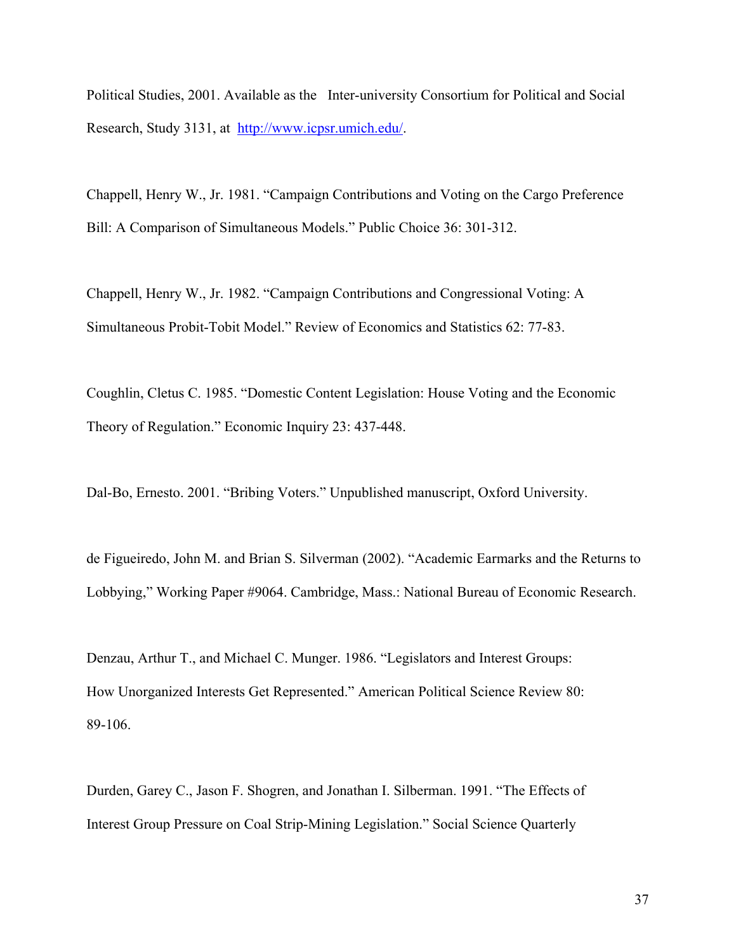Political Studies, 2001. Available as the Inter-university Consortium for Political and Social Research, Study 3131, at http://www.icpsr.umich.edu/.

Chappell, Henry W., Jr. 1981. "Campaign Contributions and Voting on the Cargo Preference Bill: A Comparison of Simultaneous Models." Public Choice 36: 301-312.

Chappell, Henry W., Jr. 1982. "Campaign Contributions and Congressional Voting: A Simultaneous Probit-Tobit Model." Review of Economics and Statistics 62: 77-83.

Coughlin, Cletus C. 1985. "Domestic Content Legislation: House Voting and the Economic Theory of Regulation." Economic Inquiry 23: 437-448.

Dal-Bo, Ernesto. 2001. "Bribing Voters." Unpublished manuscript, Oxford University.

de Figueiredo, John M. and Brian S. Silverman (2002). "Academic Earmarks and the Returns to Lobbying," Working Paper #9064. Cambridge, Mass.: National Bureau of Economic Research.

Denzau, Arthur T., and Michael C. Munger. 1986. "Legislators and Interest Groups: How Unorganized Interests Get Represented." American Political Science Review 80: 89-106.

Durden, Garey C., Jason F. Shogren, and Jonathan I. Silberman. 1991. "The Effects of Interest Group Pressure on Coal Strip-Mining Legislation." Social Science Quarterly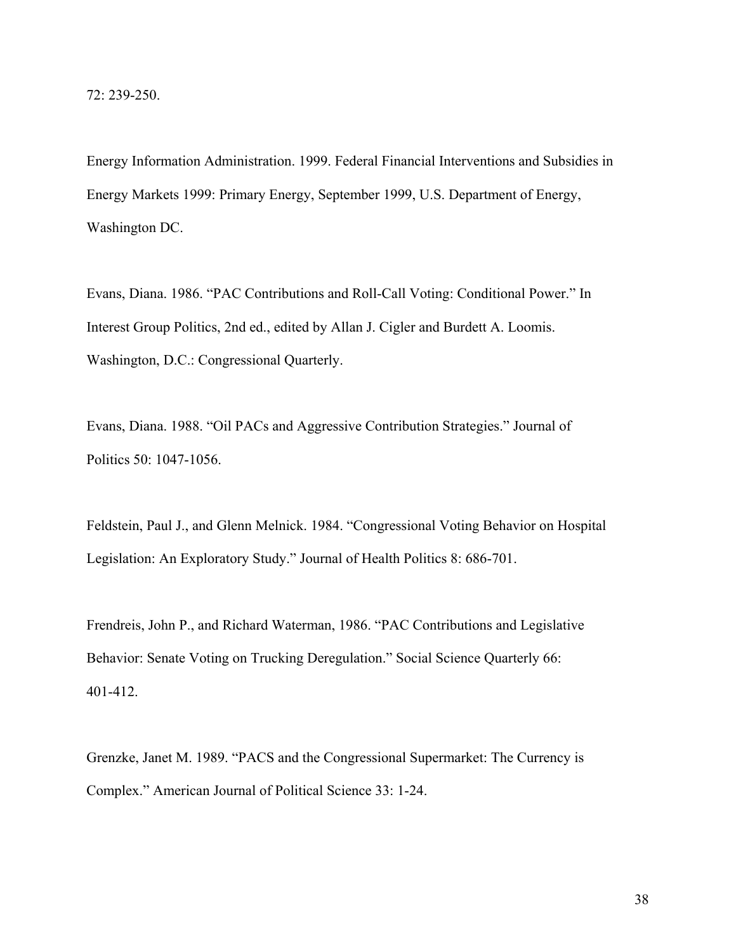72: 239-250.

Energy Information Administration. 1999. Federal Financial Interventions and Subsidies in Energy Markets 1999: Primary Energy, September 1999, U.S. Department of Energy, Washington DC.

Evans, Diana. 1986. "PAC Contributions and Roll-Call Voting: Conditional Power." In Interest Group Politics, 2nd ed., edited by Allan J. Cigler and Burdett A. Loomis. Washington, D.C.: Congressional Quarterly.

Evans, Diana. 1988. "Oil PACs and Aggressive Contribution Strategies." Journal of Politics 50: 1047-1056.

Feldstein, Paul J., and Glenn Melnick. 1984. "Congressional Voting Behavior on Hospital Legislation: An Exploratory Study." Journal of Health Politics 8: 686-701.

Frendreis, John P., and Richard Waterman, 1986. "PAC Contributions and Legislative Behavior: Senate Voting on Trucking Deregulation." Social Science Quarterly 66: 401-412.

Grenzke, Janet M. 1989. "PACS and the Congressional Supermarket: The Currency is Complex." American Journal of Political Science 33: 1-24.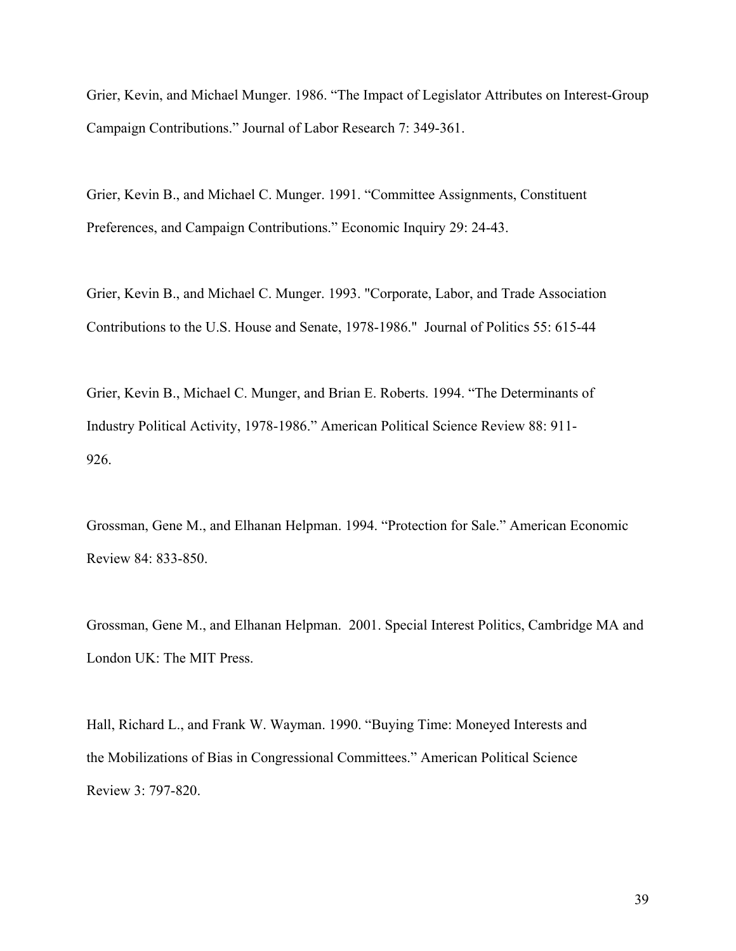Grier, Kevin, and Michael Munger. 1986. "The Impact of Legislator Attributes on Interest-Group Campaign Contributions." Journal of Labor Research 7: 349-361.

Grier, Kevin B., and Michael C. Munger. 1991. "Committee Assignments, Constituent Preferences, and Campaign Contributions." Economic Inquiry 29: 24-43.

Grier, Kevin B., and Michael C. Munger. 1993. "Corporate, Labor, and Trade Association Contributions to the U.S. House and Senate, 1978-1986." Journal of Politics 55: 615-44

Grier, Kevin B., Michael C. Munger, and Brian E. Roberts. 1994. "The Determinants of Industry Political Activity, 1978-1986." American Political Science Review 88: 911- 926.

Grossman, Gene M., and Elhanan Helpman. 1994. "Protection for Sale." American Economic Review 84: 833-850.

Grossman, Gene M., and Elhanan Helpman. 2001. Special Interest Politics, Cambridge MA and London UK: The MIT Press.

Hall, Richard L., and Frank W. Wayman. 1990. "Buying Time: Moneyed Interests and the Mobilizations of Bias in Congressional Committees." American Political Science Review 3: 797-820.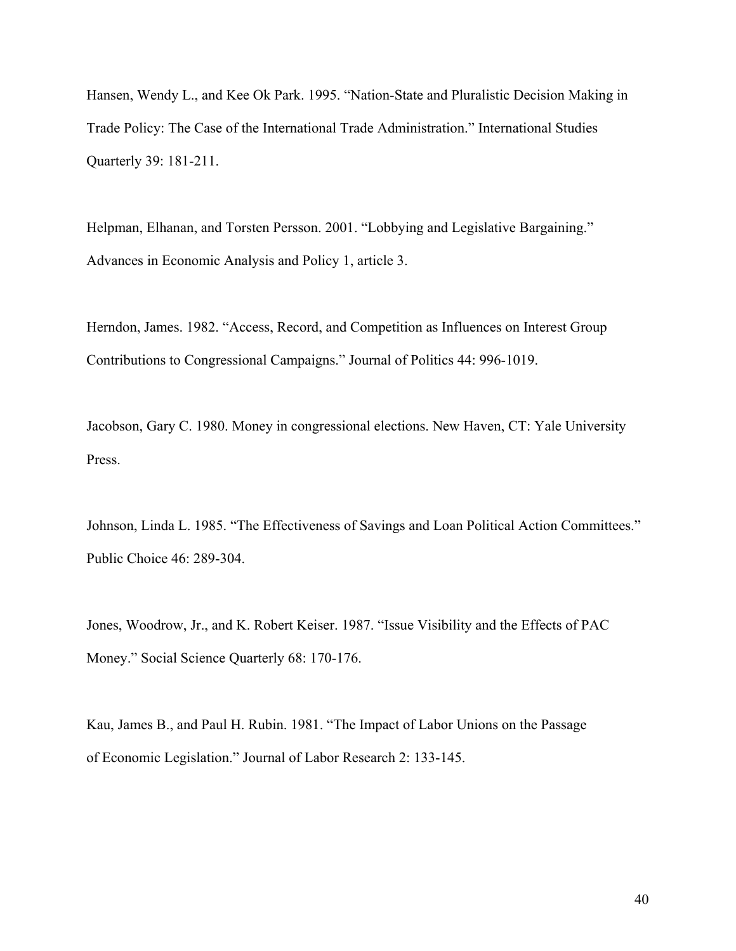Hansen, Wendy L., and Kee Ok Park. 1995. "Nation-State and Pluralistic Decision Making in Trade Policy: The Case of the International Trade Administration." International Studies Quarterly 39: 181-211.

Helpman, Elhanan, and Torsten Persson. 2001. "Lobbying and Legislative Bargaining." Advances in Economic Analysis and Policy 1, article 3.

Herndon, James. 1982. "Access, Record, and Competition as Influences on Interest Group Contributions to Congressional Campaigns." Journal of Politics 44: 996-1019.

Jacobson, Gary C. 1980. Money in congressional elections. New Haven, CT: Yale University Press.

Johnson, Linda L. 1985. "The Effectiveness of Savings and Loan Political Action Committees." Public Choice 46: 289-304.

Jones, Woodrow, Jr., and K. Robert Keiser. 1987. "Issue Visibility and the Effects of PAC Money." Social Science Quarterly 68: 170-176.

Kau, James B., and Paul H. Rubin. 1981. "The Impact of Labor Unions on the Passage of Economic Legislation." Journal of Labor Research 2: 133-145.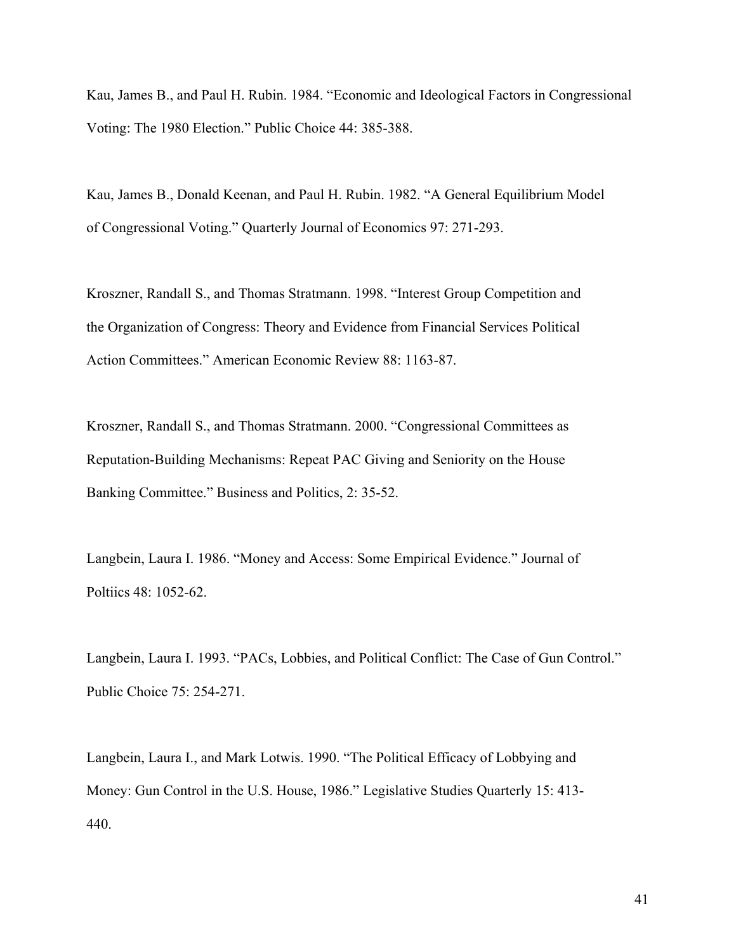Kau, James B., and Paul H. Rubin. 1984. "Economic and Ideological Factors in Congressional Voting: The 1980 Election." Public Choice 44: 385-388.

Kau, James B., Donald Keenan, and Paul H. Rubin. 1982. "A General Equilibrium Model of Congressional Voting." Quarterly Journal of Economics 97: 271-293.

Kroszner, Randall S., and Thomas Stratmann. 1998. "Interest Group Competition and the Organization of Congress: Theory and Evidence from Financial Services Political Action Committees." American Economic Review 88: 1163-87.

Kroszner, Randall S., and Thomas Stratmann. 2000. "Congressional Committees as Reputation-Building Mechanisms: Repeat PAC Giving and Seniority on the House Banking Committee." Business and Politics, 2: 35-52.

Langbein, Laura I. 1986. "Money and Access: Some Empirical Evidence." Journal of Poltiics 48: 1052-62.

Langbein, Laura I. 1993. "PACs, Lobbies, and Political Conflict: The Case of Gun Control." Public Choice 75: 254-271.

Langbein, Laura I., and Mark Lotwis. 1990. "The Political Efficacy of Lobbying and Money: Gun Control in the U.S. House, 1986." Legislative Studies Quarterly 15: 413- 440.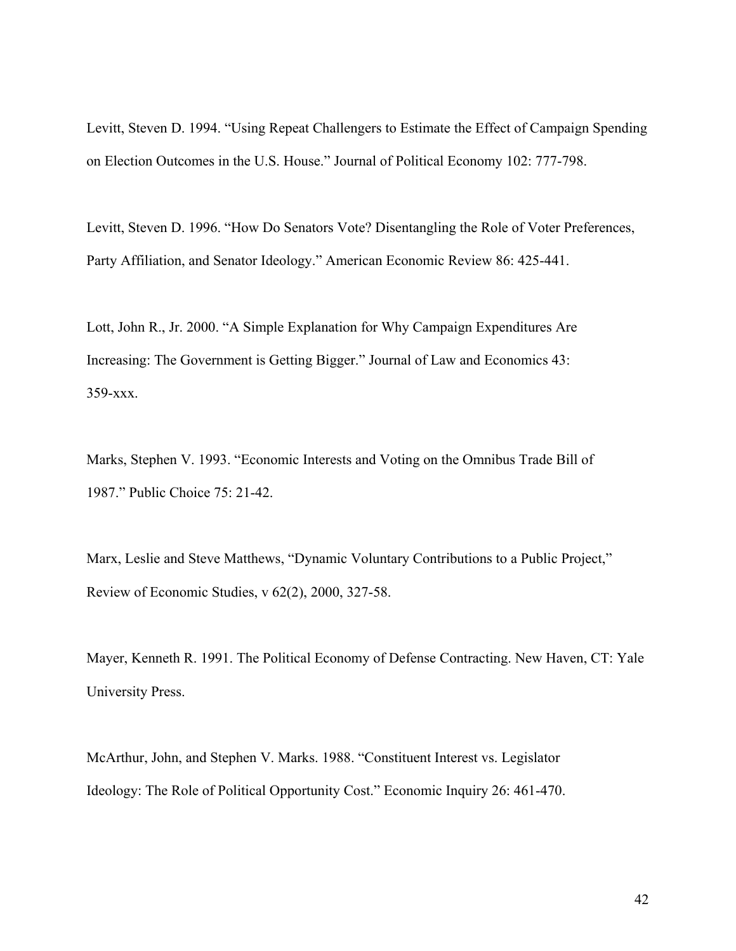Levitt, Steven D. 1994. "Using Repeat Challengers to Estimate the Effect of Campaign Spending on Election Outcomes in the U.S. House." Journal of Political Economy 102: 777-798.

Levitt, Steven D. 1996. "How Do Senators Vote? Disentangling the Role of Voter Preferences, Party Affiliation, and Senator Ideology." American Economic Review 86: 425-441.

Lott, John R., Jr. 2000. "A Simple Explanation for Why Campaign Expenditures Are Increasing: The Government is Getting Bigger." Journal of Law and Economics 43: 359-xxx.

Marks, Stephen V. 1993. "Economic Interests and Voting on the Omnibus Trade Bill of 1987." Public Choice 75: 21-42.

Marx, Leslie and Steve Matthews, "Dynamic Voluntary Contributions to a Public Project," Review of Economic Studies, v 62(2), 2000, 327-58.

Mayer, Kenneth R. 1991. The Political Economy of Defense Contracting. New Haven, CT: Yale University Press.

McArthur, John, and Stephen V. Marks. 1988. "Constituent Interest vs. Legislator Ideology: The Role of Political Opportunity Cost." Economic Inquiry 26: 461-470.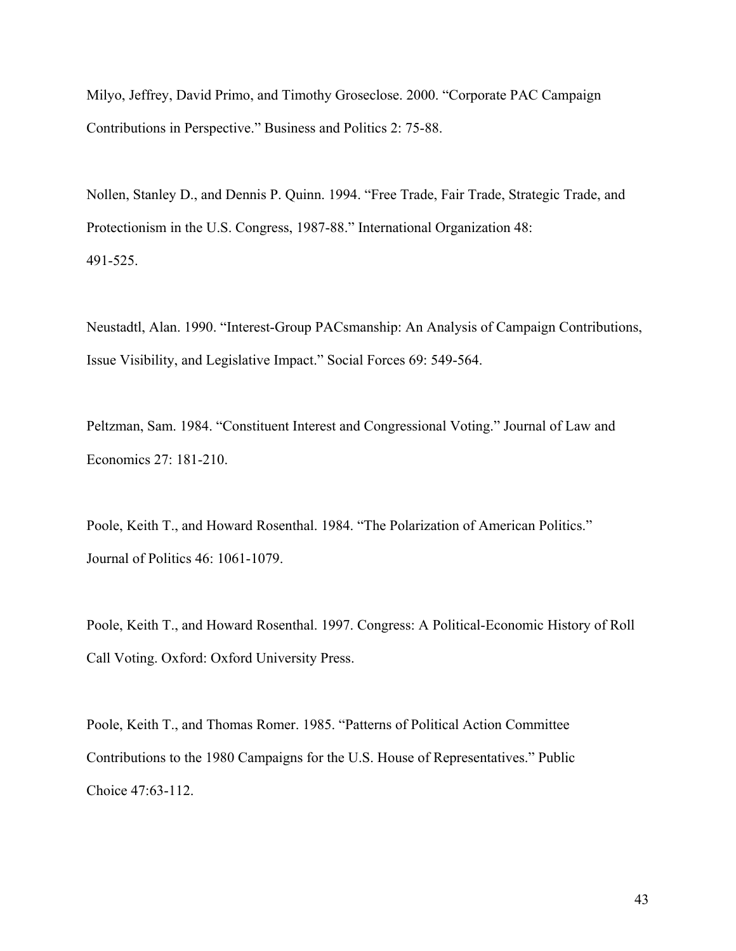Milyo, Jeffrey, David Primo, and Timothy Groseclose. 2000. "Corporate PAC Campaign Contributions in Perspective." Business and Politics 2: 75-88.

Nollen, Stanley D., and Dennis P. Quinn. 1994. "Free Trade, Fair Trade, Strategic Trade, and Protectionism in the U.S. Congress, 1987-88." International Organization 48: 491-525.

Neustadtl, Alan. 1990. "Interest-Group PACsmanship: An Analysis of Campaign Contributions, Issue Visibility, and Legislative Impact." Social Forces 69: 549-564.

Peltzman, Sam. 1984. "Constituent Interest and Congressional Voting." Journal of Law and Economics 27: 181-210.

Poole, Keith T., and Howard Rosenthal. 1984. "The Polarization of American Politics." Journal of Politics 46: 1061-1079.

Poole, Keith T., and Howard Rosenthal. 1997. Congress: A Political-Economic History of Roll Call Voting. Oxford: Oxford University Press.

Poole, Keith T., and Thomas Romer. 1985. "Patterns of Political Action Committee Contributions to the 1980 Campaigns for the U.S. House of Representatives." Public Choice 47:63-112.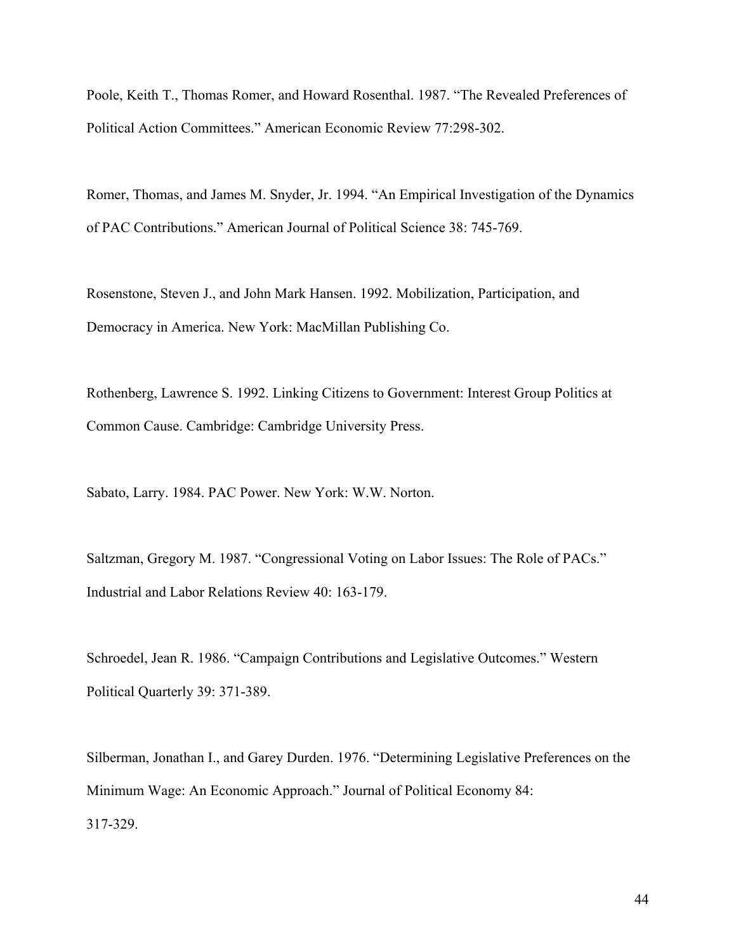Poole, Keith T., Thomas Romer, and Howard Rosenthal. 1987. "The Revealed Preferences of Political Action Committees." American Economic Review 77:298-302.

Romer, Thomas, and James M. Snyder, Jr. 1994. "An Empirical Investigation of the Dynamics of PAC Contributions." American Journal of Political Science 38: 745-769.

Rosenstone, Steven J., and John Mark Hansen. 1992. Mobilization, Participation, and Democracy in America. New York: MacMillan Publishing Co.

Rothenberg, Lawrence S. 1992. Linking Citizens to Government: Interest Group Politics at Common Cause. Cambridge: Cambridge University Press.

Sabato, Larry. 1984. PAC Power. New York: W.W. Norton.

Saltzman, Gregory M. 1987. "Congressional Voting on Labor Issues: The Role of PACs." Industrial and Labor Relations Review 40: 163-179.

Schroedel, Jean R. 1986. "Campaign Contributions and Legislative Outcomes." Western Political Quarterly 39: 371-389.

Silberman, Jonathan I., and Garey Durden. 1976. "Determining Legislative Preferences on the Minimum Wage: An Economic Approach." Journal of Political Economy 84: 317-329.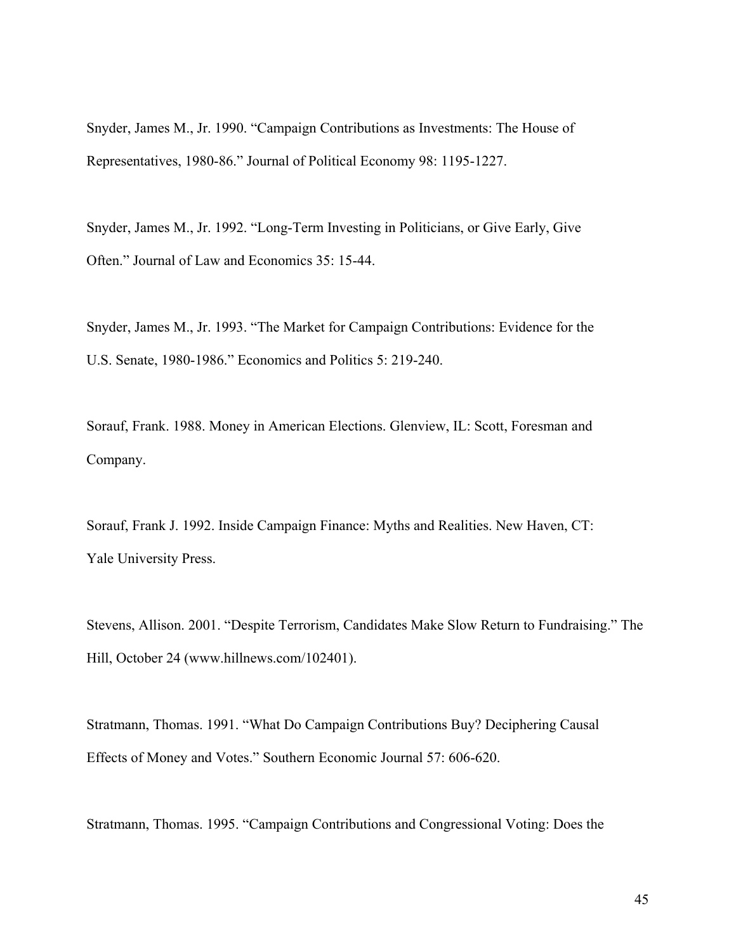Snyder, James M., Jr. 1990. "Campaign Contributions as Investments: The House of Representatives, 1980-86." Journal of Political Economy 98: 1195-1227.

Snyder, James M., Jr. 1992. "Long-Term Investing in Politicians, or Give Early, Give Often." Journal of Law and Economics 35: 15-44.

Snyder, James M., Jr. 1993. "The Market for Campaign Contributions: Evidence for the U.S. Senate, 1980-1986." Economics and Politics 5: 219-240.

Sorauf, Frank. 1988. Money in American Elections. Glenview, IL: Scott, Foresman and Company.

Sorauf, Frank J. 1992. Inside Campaign Finance: Myths and Realities. New Haven, CT: Yale University Press.

Stevens, Allison. 2001. "Despite Terrorism, Candidates Make Slow Return to Fundraising." The Hill, October 24 (www.hillnews.com/102401).

Stratmann, Thomas. 1991. "What Do Campaign Contributions Buy? Deciphering Causal Effects of Money and Votes." Southern Economic Journal 57: 606-620.

Stratmann, Thomas. 1995. "Campaign Contributions and Congressional Voting: Does the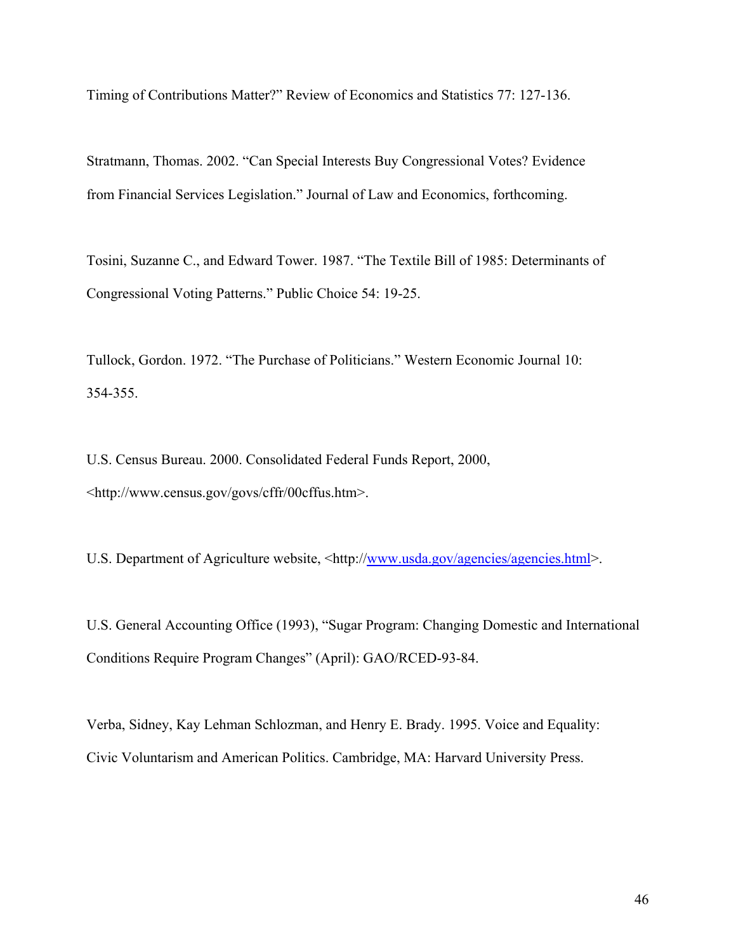Timing of Contributions Matter?" Review of Economics and Statistics 77: 127-136.

Stratmann, Thomas. 2002. "Can Special Interests Buy Congressional Votes? Evidence from Financial Services Legislation." Journal of Law and Economics, forthcoming.

Tosini, Suzanne C., and Edward Tower. 1987. "The Textile Bill of 1985: Determinants of Congressional Voting Patterns." Public Choice 54: 19-25.

Tullock, Gordon. 1972. "The Purchase of Politicians." Western Economic Journal 10: 354-355.

U.S. Census Bureau. 2000. Consolidated Federal Funds Report, 2000, <http://www.census.gov/govs/cffr/00cffus.htm>.

U.S. Department of Agriculture website, <http://www.usda.gov/agencies/agencies.html>.

U.S. General Accounting Office (1993), "Sugar Program: Changing Domestic and International Conditions Require Program Changes" (April): GAO/RCED-93-84.

Verba, Sidney, Kay Lehman Schlozman, and Henry E. Brady. 1995. Voice and Equality: Civic Voluntarism and American Politics. Cambridge, MA: Harvard University Press.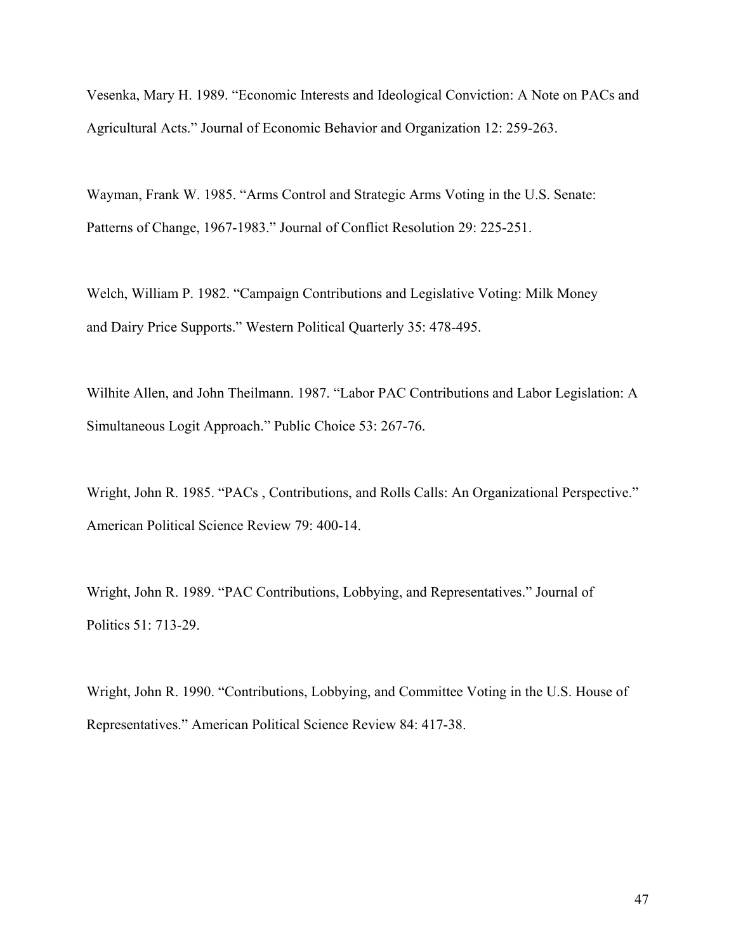Vesenka, Mary H. 1989. "Economic Interests and Ideological Conviction: A Note on PACs and Agricultural Acts." Journal of Economic Behavior and Organization 12: 259-263.

Wayman, Frank W. 1985. "Arms Control and Strategic Arms Voting in the U.S. Senate: Patterns of Change, 1967-1983." Journal of Conflict Resolution 29: 225-251.

Welch, William P. 1982. "Campaign Contributions and Legislative Voting: Milk Money and Dairy Price Supports." Western Political Quarterly 35: 478-495.

Wilhite Allen, and John Theilmann. 1987. "Labor PAC Contributions and Labor Legislation: A Simultaneous Logit Approach." Public Choice 53: 267-76.

Wright, John R. 1985. "PACs , Contributions, and Rolls Calls: An Organizational Perspective." American Political Science Review 79: 400-14.

Wright, John R. 1989. "PAC Contributions, Lobbying, and Representatives." Journal of Politics 51: 713-29.

Wright, John R. 1990. "Contributions, Lobbying, and Committee Voting in the U.S. House of Representatives." American Political Science Review 84: 417-38.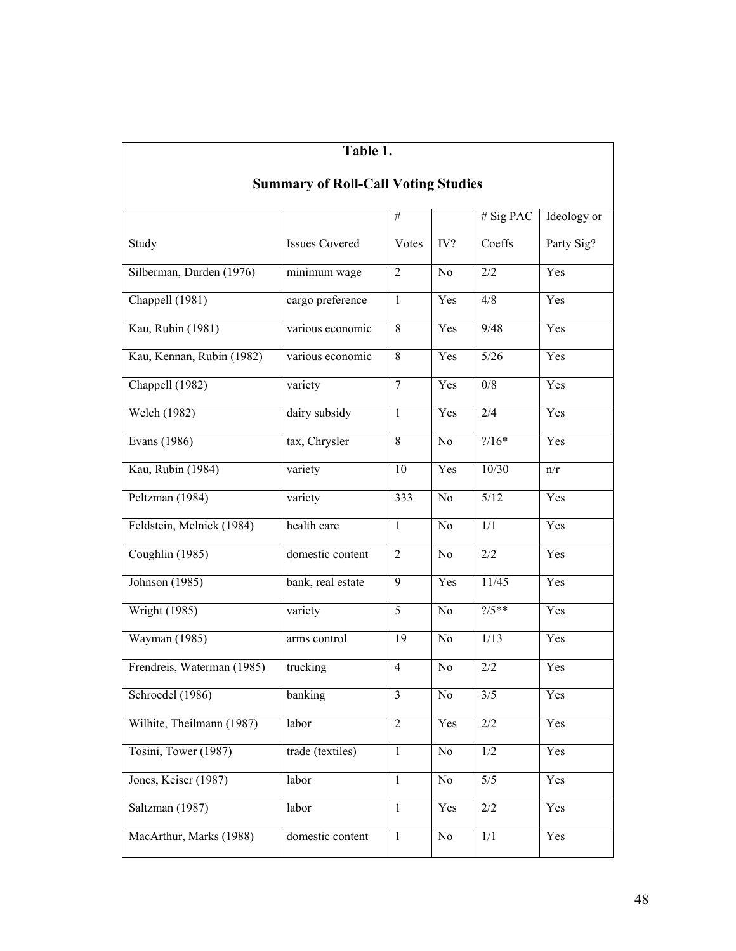| Table 1.                                   |                       |                |                |                  |             |  |
|--------------------------------------------|-----------------------|----------------|----------------|------------------|-------------|--|
| <b>Summary of Roll-Call Voting Studies</b> |                       |                |                |                  |             |  |
|                                            |                       | $\#$           |                | # Sig PAC        | Ideology or |  |
| Study                                      | <b>Issues Covered</b> | Votes          | IV?            | Coeffs           | Party Sig?  |  |
| Silberman, Durden (1976)                   | minimum wage          | $\overline{2}$ | No             | 2/2              | Yes         |  |
| Chappell (1981)                            | cargo preference      | $\mathbf{1}$   | Yes            | 4/8              | Yes         |  |
| Kau, Rubin (1981)                          | various economic      | 8              | Yes            | 9/48             | Yes         |  |
| Kau, Kennan, Rubin (1982)                  | various economic      | 8              | Yes            | $5/26$           | Yes         |  |
| Chappell (1982)                            | variety               | $\tau$         | Yes            | 0/8              | Yes         |  |
| Welch (1982)                               | dairy subsidy         | $\mathbf{1}$   | Yes            | 2/4              | Yes         |  |
| Evans (1986)                               | tax, Chrysler         | 8              | N <sub>0</sub> | $? / 16*$        | Yes         |  |
| Kau, Rubin (1984)                          | variety               | 10             | Yes            | 10/30            | n/r         |  |
| Peltzman (1984)                            | variety               | 333            | N <sub>0</sub> | 5/12             | Yes         |  |
| Feldstein, Melnick (1984)                  | health care           | $\mathbf{1}$   | N <sub>0</sub> | 1/1              | Yes         |  |
| Coughlin (1985)                            | domestic content      | $\overline{2}$ | N <sub>0</sub> | 2/2              | Yes         |  |
| Johnson (1985)                             | bank, real estate     | 9              | Yes            | 11/45            | Yes         |  |
| Wright (1985)                              | variety               | 5              | N <sub>0</sub> | $\frac{7}{5}$ ** | Yes         |  |
| Wayman (1985)                              | arms control          | 19             | N <sub>0</sub> | 1/13             | Yes         |  |
| Frendreis, Waterman (1985)                 | trucking              | $\overline{4}$ | N <sub>0</sub> | 2/2              | Yes         |  |
| Schroedel (1986)                           | banking               | 3              | No             | 3/5              | Yes         |  |
| Wilhite, Theilmann (1987)                  | labor                 | $\mathbf{2}$   | Yes            | 2/2              | Yes         |  |
| Tosini, Tower (1987)                       | trade (textiles)      | $\mathbf{1}$   | No             | 1/2              | Yes         |  |
| Jones, Keiser (1987)                       | labor                 | $\mathbf{1}$   | No             | 5/5              | Yes         |  |
| Saltzman (1987)                            | labor                 | $\mathbf{1}$   | Yes            | $2/2\,$          | Yes         |  |
| MacArthur, Marks (1988)                    | domestic content      | $\mathbf{1}$   | No             | $1/1\,$          | Yes         |  |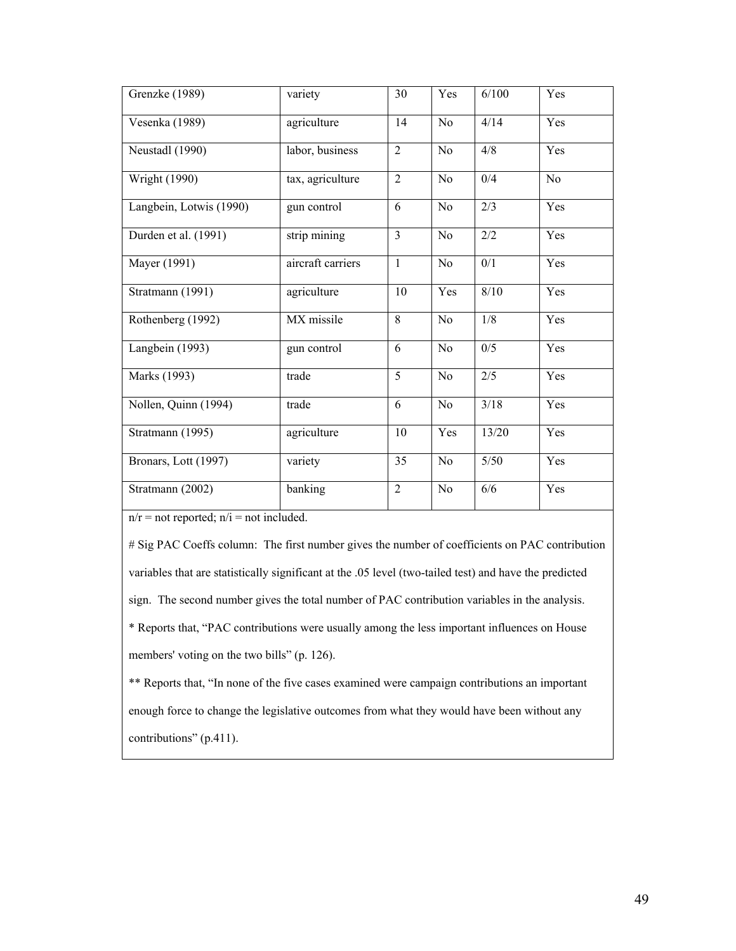| Grenzke (1989)          | variety           | 30             | Yes            | 6/100            | Yes            |
|-------------------------|-------------------|----------------|----------------|------------------|----------------|
| Vesenka (1989)          | agriculture       | 14             | N <sub>o</sub> | 4/14             | Yes            |
| Neustadl (1990)         | labor, business   | $\overline{2}$ | N <sub>0</sub> | 4/8              | Yes            |
| <b>Wright (1990)</b>    | tax, agriculture  | $\overline{2}$ | N <sub>0</sub> | 0/4              | N <sub>0</sub> |
| Langbein, Lotwis (1990) | gun control       | 6              | N <sub>0</sub> | 2/3              | Yes            |
| Durden et al. (1991)    | strip mining      | $\overline{3}$ | N <sub>0</sub> | 2/2              | Yes            |
| Mayer (1991)            | aircraft carriers | $\mathbf{1}$   | No             | 0/1              | Yes            |
| Stratmann (1991)        | agriculture       | 10             | Yes            | 8/10             | Yes            |
| Rothenberg (1992)       | $MX$ missile      | 8              | No             | 1/8              | Yes            |
| Langbein (1993)         | gun control       | 6              | N <sub>0</sub> | 0/5              | Yes            |
| Marks (1993)            | trade             | $\overline{5}$ | N <sub>0</sub> | $\overline{2/5}$ | Yes            |
| Nollen, Quinn (1994)    | trade             | $\overline{6}$ | No             | 3/18             | Yes            |
| Stratmann (1995)        | agriculture       | 10             | Yes            | 13/20            | Yes            |
| Bronars, Lott (1997)    | variety           | 35             | N <sub>0</sub> | $5/50$           | Yes            |
| Stratmann (2002)        | banking           | $\overline{2}$ | N <sub>0</sub> | 6/6              | Yes            |

 $n/r$  = not reported;  $n/i$  = not included.

# Sig PAC Coeffs column: The first number gives the number of coefficients on PAC contribution variables that are statistically significant at the .05 level (two-tailed test) and have the predicted sign. The second number gives the total number of PAC contribution variables in the analysis. \* Reports that, "PAC contributions were usually among the less important influences on House members' voting on the two bills" (p. 126).

\*\* Reports that, "In none of the five cases examined were campaign contributions an important enough force to change the legislative outcomes from what they would have been without any contributions" (p.411).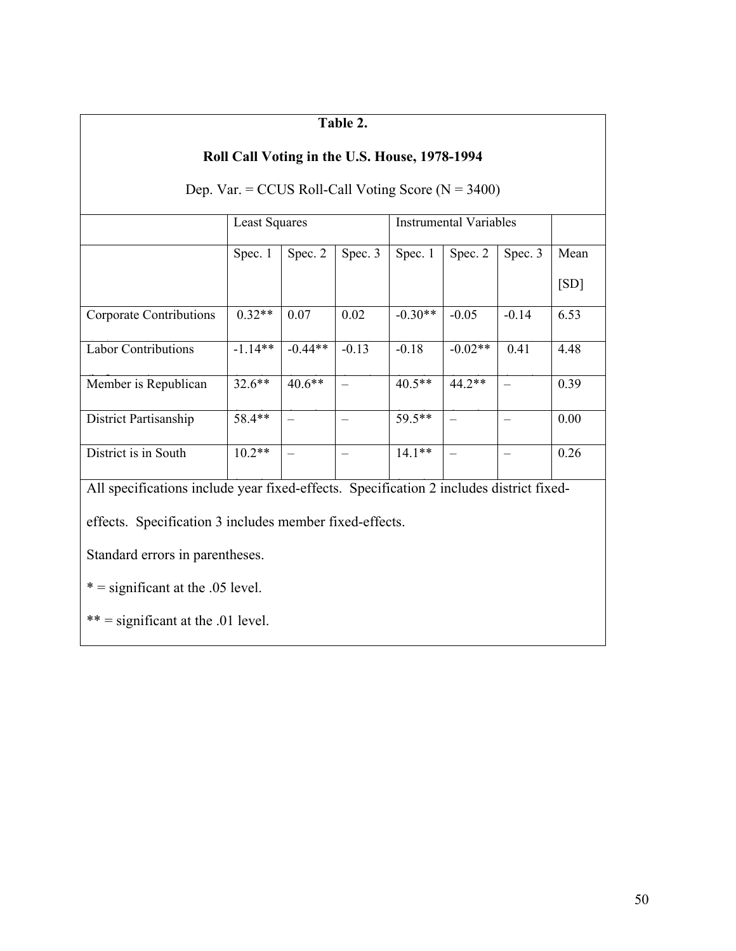#### **Table 2. Roll Call Voting in the U.S. House, 1978-1994**  Dep. Var. = CCUS Roll-Call Voting Score ( $N = 3400$ ) Least Squares Instrumental Variables  $\vert$  Spec. 1  $\vert$  Spec. 2  $\vert$  Spec. 3  $\vert$  Spec. 2  $\vert$  Spec. 3  $\vert$  Mean  $[SD]$ Corporate Contributions Labor Contributions  $0.32**$  $-1.14**$ 0.07  $-0.44**$ 0.02  $-0.13$  $-0.30**$  $-0.18$  $-0.05$  $-0.02**$  $-0.14$  $0.41$ 6.53 Member is Republican  $32.6**$  $32.6***$  $40.6**$  $\equiv$  $-$  40.5\*\*  $44.2**$  $\equiv$ 4.48 58.4\*\*  $\overline{\phantom{0}}$  $59.5**$  $\equiv$ – 0.39 District Partisanship  $10.2**$  $14.1**$  $- 0.00$ District is in South All specifications include year fixed-effects. Specification 2 includes district fixed- $0.26$ effects. Specification 3 includes member fixed-effects. Standard errors in parentheses.  $* =$  significant at the .05 level.  $***$  = significant at the .01 level.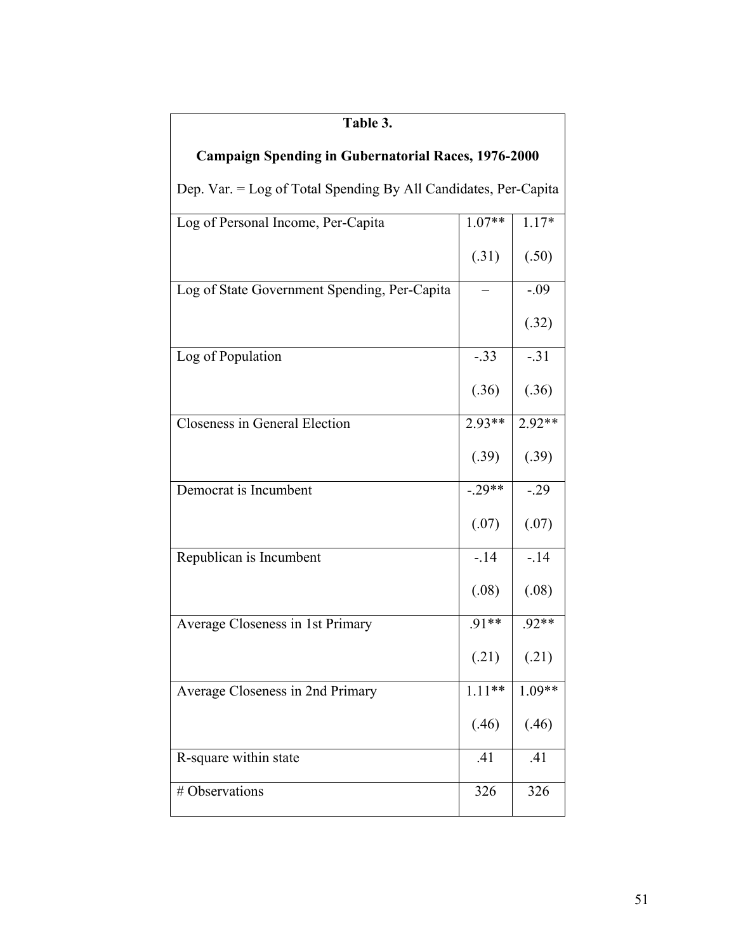| Table 3.                                                        |          |          |  |  |
|-----------------------------------------------------------------|----------|----------|--|--|
| <b>Campaign Spending in Gubernatorial Races, 1976-2000</b>      |          |          |  |  |
| Dep. Var. = Log of Total Spending By All Candidates, Per-Capita |          |          |  |  |
| Log of Personal Income, Per-Capita                              | $1.07**$ | $1.17*$  |  |  |
|                                                                 | (.31)    | (.50)    |  |  |
| Log of State Government Spending, Per-Capita                    |          | $-.09$   |  |  |
|                                                                 |          | (.32)    |  |  |
| Log of Population                                               | $-.33$   | $-.31$   |  |  |
|                                                                 | (.36)    | (.36)    |  |  |
| Closeness in General Election                                   | $2.93**$ | $2.92**$ |  |  |
|                                                                 | (.39)    | (.39)    |  |  |
| Democrat is Incumbent                                           | $-.29**$ | $-.29$   |  |  |
|                                                                 | (.07)    | (.07)    |  |  |
| Republican is Incumbent                                         | $-14$    | $-14$    |  |  |
|                                                                 | (.08)    | (.08)    |  |  |
| Average Closeness in 1st Primary                                | $.91**$  | .92**    |  |  |
|                                                                 | (.21)    | (.21)    |  |  |
| Average Closeness in 2nd Primary                                | $1.11**$ | $1.09**$ |  |  |
|                                                                 | (.46)    | (.46)    |  |  |
| R-square within state                                           | .41      | .41      |  |  |
| # Observations                                                  | 326      | 326      |  |  |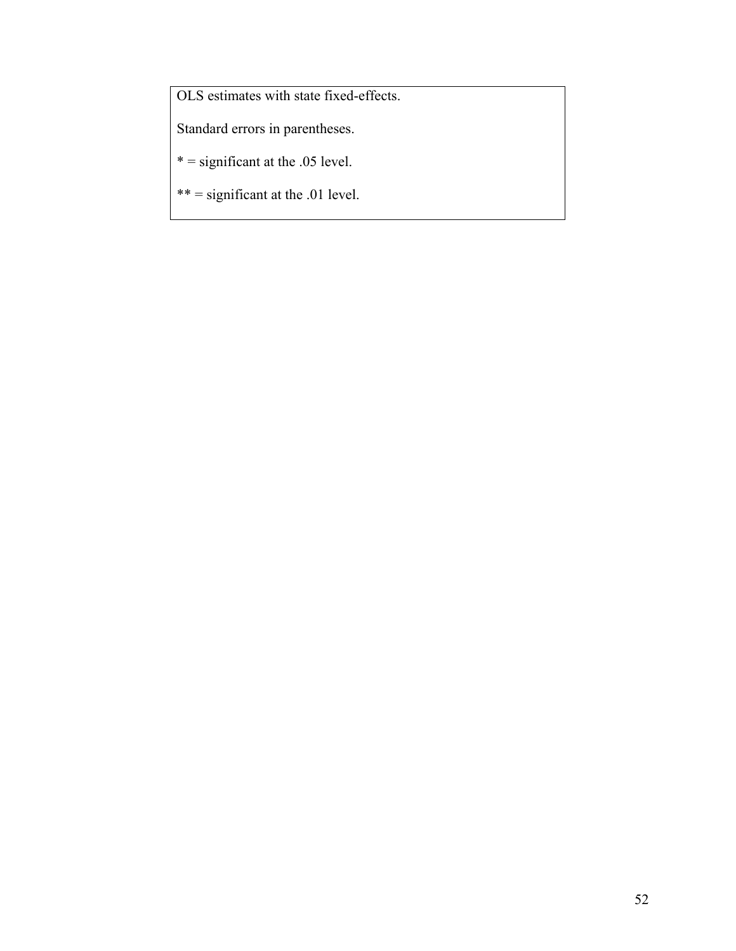OLS estimates with state fixed-effects.

Standard errors in parentheses.

 $* =$  significant at the .05 level.

\*\* = significant at the .01 level.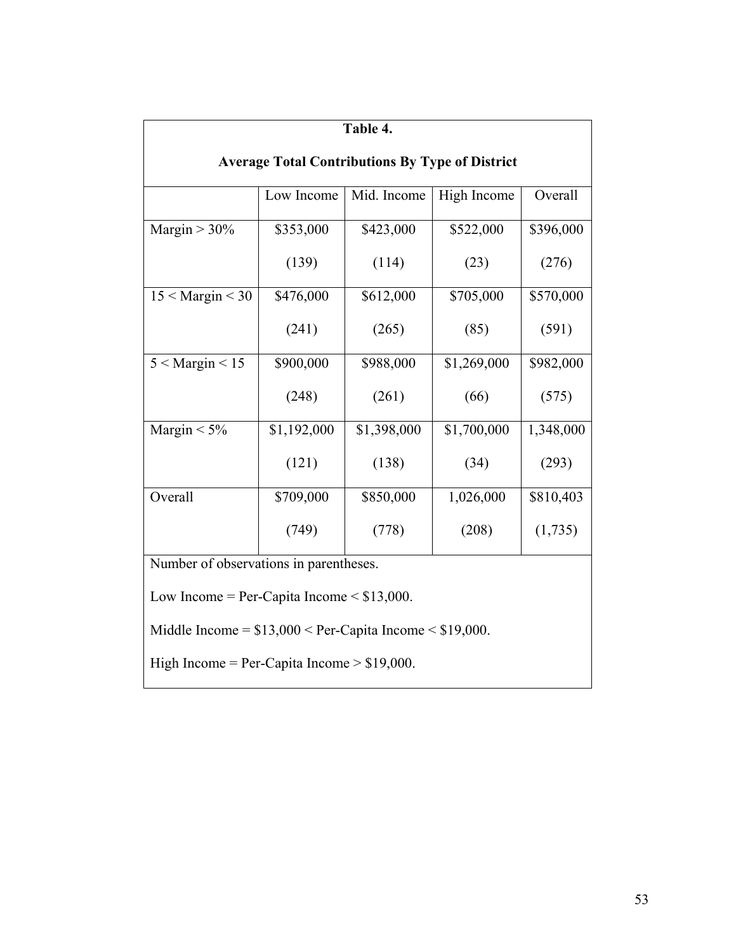| Table 4.                                                    |             |             |             |           |  |  |
|-------------------------------------------------------------|-------------|-------------|-------------|-----------|--|--|
| <b>Average Total Contributions By Type of District</b>      |             |             |             |           |  |  |
|                                                             | Low Income  | Mid. Income | High Income | Overall   |  |  |
| Margin $> 30\%$                                             | \$353,000   | \$423,000   | \$522,000   | \$396,000 |  |  |
|                                                             | (139)       | (114)       | (23)        | (276)     |  |  |
| $15 <$ Margin $<$ 30                                        | \$476,000   | \$612,000   | \$705,000   | \$570,000 |  |  |
|                                                             | (241)       | (265)       | (85)        | (591)     |  |  |
| $5 <$ Margin $< 15$                                         | \$900,000   | \$988,000   | \$1,269,000 | \$982,000 |  |  |
|                                                             | (248)       | (261)       | (66)        | (575)     |  |  |
| Margin $< 5\%$                                              | \$1,192,000 | \$1,398,000 | \$1,700,000 | 1,348,000 |  |  |
|                                                             | (121)       | (138)       | (34)        | (293)     |  |  |
| Overall                                                     | \$709,000   | \$850,000   | 1,026,000   | \$810,403 |  |  |
|                                                             | (749)       | (778)       | (208)       | (1,735)   |  |  |
| Number of observations in parentheses.                      |             |             |             |           |  |  |
| Low Income = Per-Capita Income $\le$ \$13,000.              |             |             |             |           |  |  |
| Middle Income = $$13,000 <$ Per-Capita Income $< $19,000$ . |             |             |             |           |  |  |
| High Income = Per-Capita Income > $$19,000$ .               |             |             |             |           |  |  |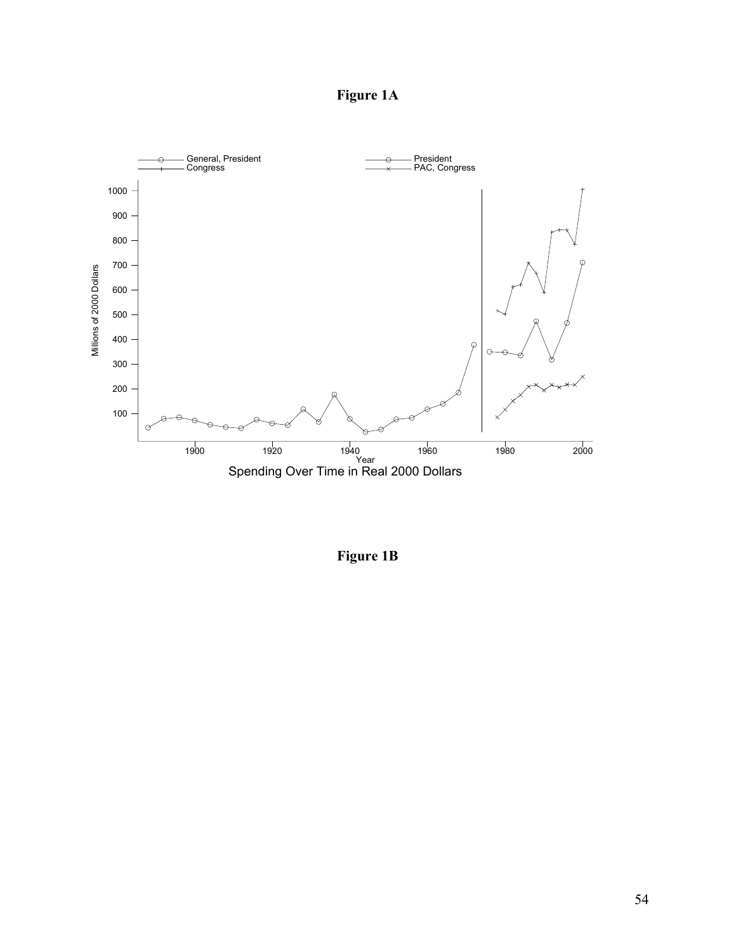**Figure 1A** 



**Figure 1B**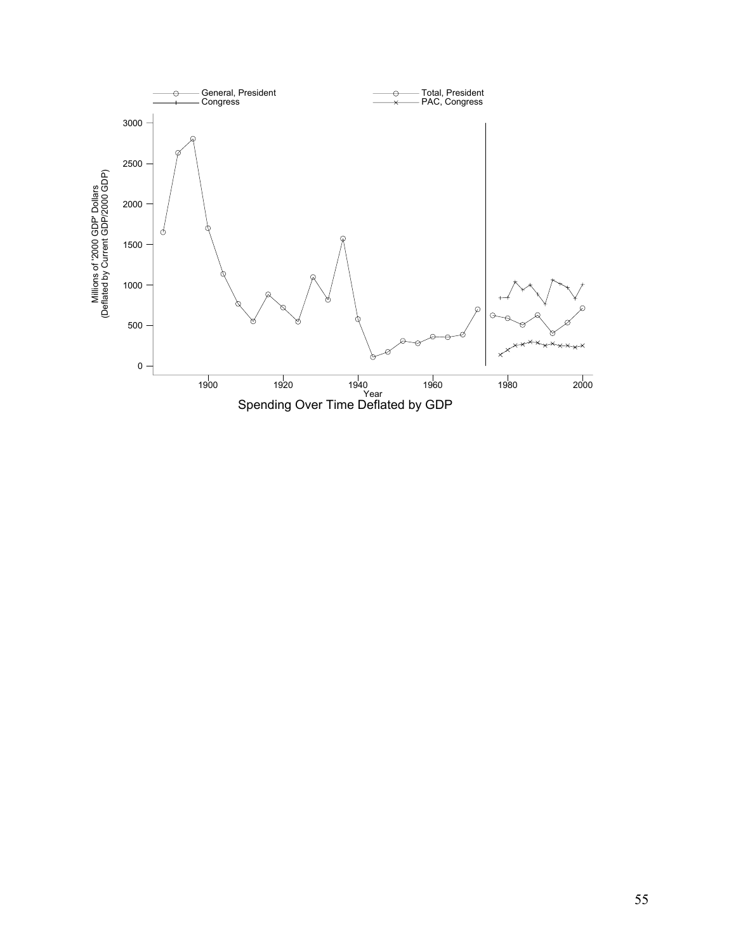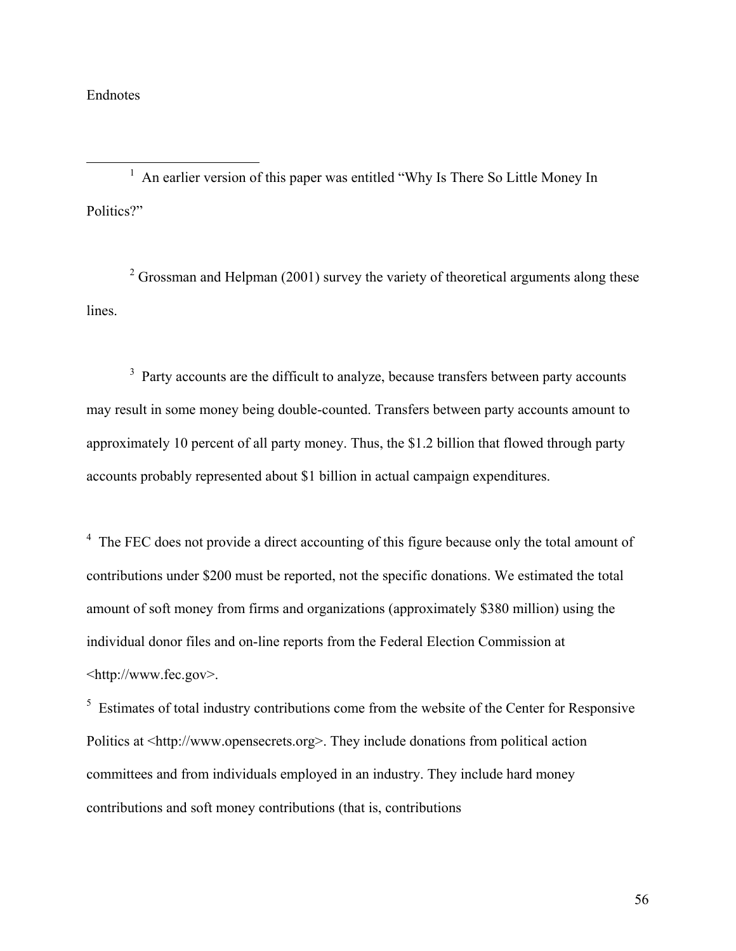# Endnotes

<u>1</u> <sup>1</sup> An earlier version of this paper was entitled "Why Is There So Little Money In Politics?"

 $2^2$  Grossman and Helpman (2001) survey the variety of theoretical arguments along these lines.

 $3$  Party accounts are the difficult to analyze, because transfers between party accounts may result in some money being double-counted. Transfers between party accounts amount to approximately 10 percent of all party money. Thus, the \$1.2 billion that flowed through party accounts probably represented about \$1 billion in actual campaign expenditures.

<sup>4</sup> The FEC does not provide a direct accounting of this figure because only the total amount of contributions under \$200 must be reported, not the specific donations. We estimated the total amount of soft money from firms and organizations (approximately \$380 million) using the individual donor files and on-line reports from the Federal Election Commission at <http://www.fec.gov>.

 $5$  Estimates of total industry contributions come from the website of the Center for Responsive Politics at <http://www.opensecrets.org>. They include donations from political action committees and from individuals employed in an industry. They include hard money contributions and soft money contributions (that is, contributions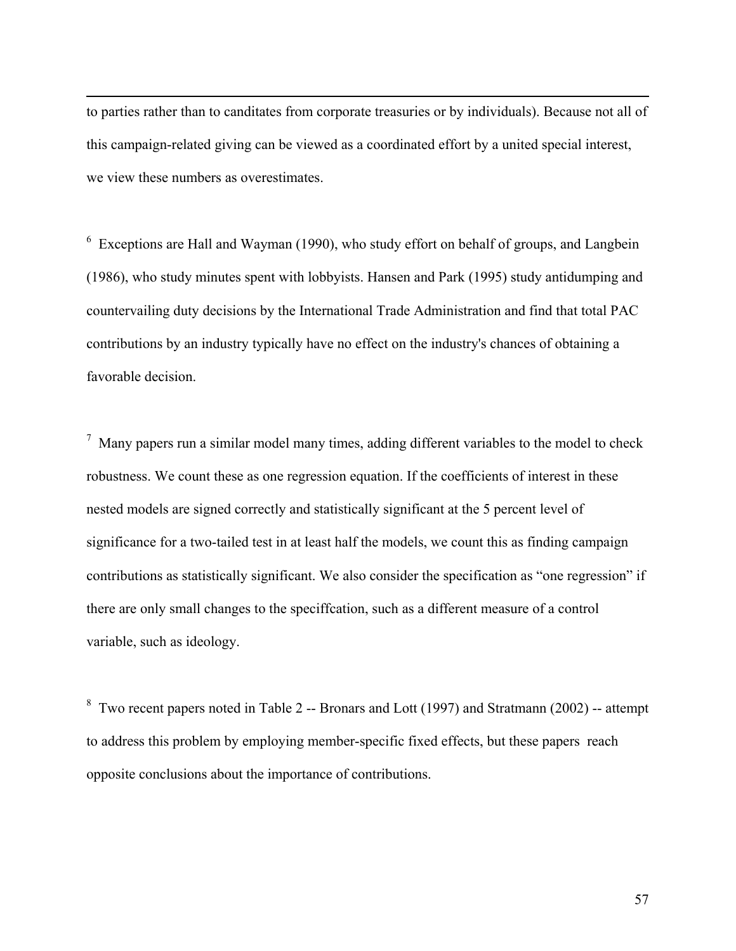to parties rather than to canditates from corporate treasuries or by individuals). Because not all of this campaign-related giving can be viewed as a coordinated effort by a united special interest, we view these numbers as overestimates.

 $\overline{a}$ 

 $6$  Exceptions are Hall and Wayman (1990), who study effort on behalf of groups, and Langbein (1986), who study minutes spent with lobbyists. Hansen and Park (1995) study antidumping and countervailing duty decisions by the International Trade Administration and find that total PAC contributions by an industry typically have no effect on the industry's chances of obtaining a favorable decision.

 $<sup>7</sup>$  Many papers run a similar model many times, adding different variables to the model to check</sup> robustness. We count these as one regression equation. If the coefficients of interest in these nested models are signed correctly and statistically significant at the 5 percent level of significance for a two-tailed test in at least half the models, we count this as finding campaign contributions as statistically significant. We also consider the specification as "one regression" if there are only small changes to the speciffcation, such as a different measure of a control variable, such as ideology.

<sup>8</sup> Two recent papers noted in Table 2 -- Bronars and Lott (1997) and Stratmann (2002) -- attempt to address this problem by employing member-specific fixed effects, but these papers reach opposite conclusions about the importance of contributions.